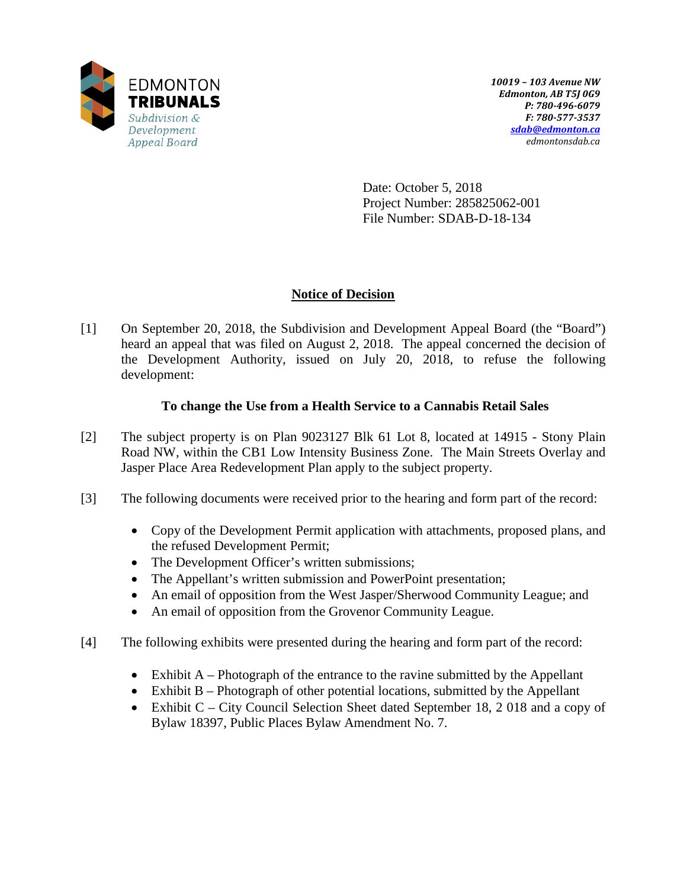

Date: October 5, 2018 Project Number: 285825062-001 File Number: SDAB-D-18-134

# **Notice of Decision**

[1] On September 20, 2018, the Subdivision and Development Appeal Board (the "Board") heard an appeal that was filed on August 2, 2018. The appeal concerned the decision of the Development Authority, issued on July 20, 2018, to refuse the following development:

# **To change the Use from a Health Service to a Cannabis Retail Sales**

- [2] The subject property is on Plan 9023127 Blk 61 Lot 8, located at 14915 Stony Plain Road NW, within the CB1 Low Intensity Business Zone. The Main Streets Overlay and Jasper Place Area Redevelopment Plan apply to the subject property.
- [3] The following documents were received prior to the hearing and form part of the record:
	- Copy of the Development Permit application with attachments, proposed plans, and the refused Development Permit;
	- The Development Officer's written submissions;
	- The Appellant's written submission and PowerPoint presentation;
	- An email of opposition from the West Jasper/Sherwood Community League; and
	- An email of opposition from the Grovenor Community League.
- [4] The following exhibits were presented during the hearing and form part of the record:
	- Exhibit A Photograph of the entrance to the ravine submitted by the Appellant
	- Exhibit B Photograph of other potential locations, submitted by the Appellant
	- Exhibit C City Council Selection Sheet dated September 18, 2018 and a copy of Bylaw 18397, Public Places Bylaw Amendment No. 7.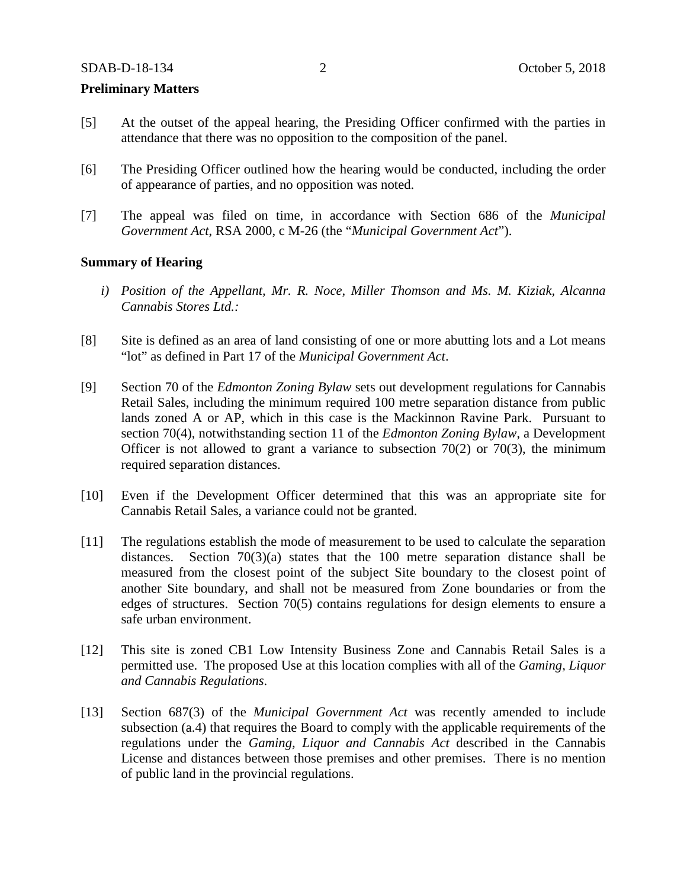#### **Preliminary Matters**

- [5] At the outset of the appeal hearing, the Presiding Officer confirmed with the parties in attendance that there was no opposition to the composition of the panel.
- [6] The Presiding Officer outlined how the hearing would be conducted, including the order of appearance of parties, and no opposition was noted.
- [7] The appeal was filed on time, in accordance with Section 686 of the *Municipal Government Act*, RSA 2000, c M-26 (the "*Municipal Government Act*").

### **Summary of Hearing**

- *i) Position of the Appellant, Mr. R. Noce, Miller Thomson and Ms. M. Kiziak, Alcanna Cannabis Stores Ltd.:*
- [8] Site is defined as an area of land consisting of one or more abutting lots and a Lot means "lot" as defined in Part 17 of the *Municipal Government Act*.
- [9] Section 70 of the *Edmonton Zoning Bylaw* sets out development regulations for Cannabis Retail Sales, including the minimum required 100 metre separation distance from public lands zoned A or AP, which in this case is the Mackinnon Ravine Park. Pursuant to section 70(4), notwithstanding section 11 of the *Edmonton Zoning Bylaw*, a Development Officer is not allowed to grant a variance to subsection  $70(2)$  or  $70(3)$ , the minimum required separation distances.
- [10] Even if the Development Officer determined that this was an appropriate site for Cannabis Retail Sales, a variance could not be granted.
- [11] The regulations establish the mode of measurement to be used to calculate the separation distances. Section  $70(3)(a)$  states that the 100 metre separation distance shall be measured from the closest point of the subject Site boundary to the closest point of another Site boundary, and shall not be measured from Zone boundaries or from the edges of structures. Section 70(5) contains regulations for design elements to ensure a safe urban environment.
- [12] This site is zoned CB1 Low Intensity Business Zone and Cannabis Retail Sales is a permitted use. The proposed Use at this location complies with all of the *Gaming, Liquor and Cannabis Regulations*.
- [13] Section 687(3) of the *Municipal Government Act* was recently amended to include subsection (a.4) that requires the Board to comply with the applicable requirements of the regulations under the *Gaming, Liquor and Cannabis Act* described in the Cannabis License and distances between those premises and other premises. There is no mention of public land in the provincial regulations.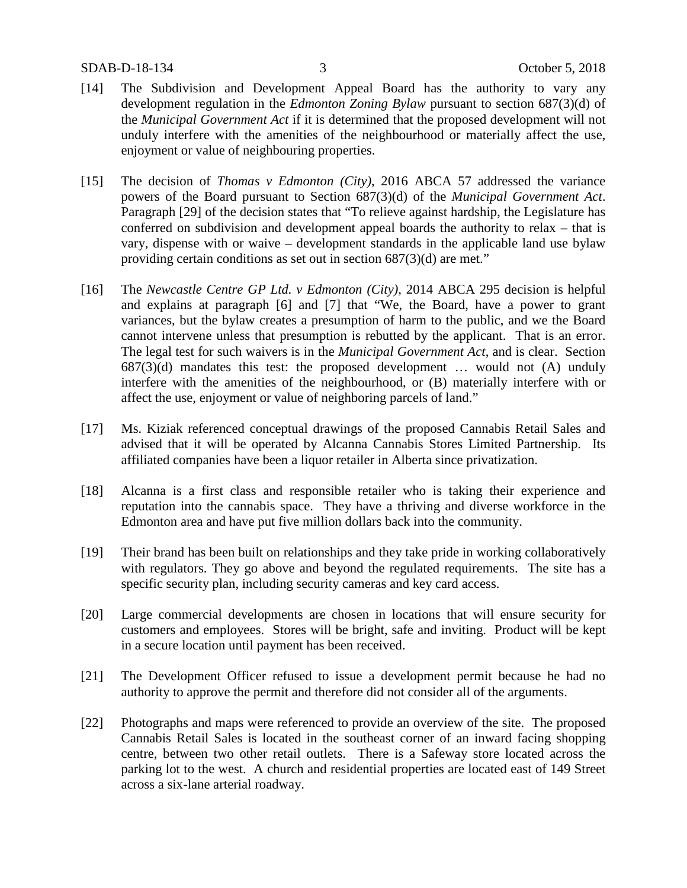- [14] The Subdivision and Development Appeal Board has the authority to vary any development regulation in the *Edmonton Zoning Bylaw* pursuant to section 687(3)(d) of the *Municipal Government Act* if it is determined that the proposed development will not unduly interfere with the amenities of the neighbourhood or materially affect the use, enjoyment or value of neighbouring properties.
- [15] The decision of *Thomas v Edmonton (City)*, 2016 ABCA 57 addressed the variance powers of the Board pursuant to Section 687(3)(d) of the *Municipal Government Act*. Paragraph [29] of the decision states that "To relieve against hardship, the Legislature has conferred on subdivision and development appeal boards the authority to relax – that is vary, dispense with or waive – development standards in the applicable land use bylaw providing certain conditions as set out in section 687(3)(d) are met."
- [16] The *Newcastle Centre GP Ltd. v Edmonton (City)*, 2014 ABCA 295 decision is helpful and explains at paragraph [6] and [7] that "We, the Board, have a power to grant variances, but the bylaw creates a presumption of harm to the public, and we the Board cannot intervene unless that presumption is rebutted by the applicant. That is an error. The legal test for such waivers is in the *Municipal Government Act*, and is clear. Section  $687(3)(d)$  mandates this test: the proposed development ... would not  $(A)$  unduly interfere with the amenities of the neighbourhood, or (B) materially interfere with or affect the use, enjoyment or value of neighboring parcels of land."
- [17] Ms. Kiziak referenced conceptual drawings of the proposed Cannabis Retail Sales and advised that it will be operated by Alcanna Cannabis Stores Limited Partnership. Its affiliated companies have been a liquor retailer in Alberta since privatization.
- [18] Alcanna is a first class and responsible retailer who is taking their experience and reputation into the cannabis space. They have a thriving and diverse workforce in the Edmonton area and have put five million dollars back into the community.
- [19] Their brand has been built on relationships and they take pride in working collaboratively with regulators. They go above and beyond the regulated requirements. The site has a specific security plan, including security cameras and key card access.
- [20] Large commercial developments are chosen in locations that will ensure security for customers and employees. Stores will be bright, safe and inviting. Product will be kept in a secure location until payment has been received.
- [21] The Development Officer refused to issue a development permit because he had no authority to approve the permit and therefore did not consider all of the arguments.
- [22] Photographs and maps were referenced to provide an overview of the site. The proposed Cannabis Retail Sales is located in the southeast corner of an inward facing shopping centre, between two other retail outlets. There is a Safeway store located across the parking lot to the west. A church and residential properties are located east of 149 Street across a six-lane arterial roadway.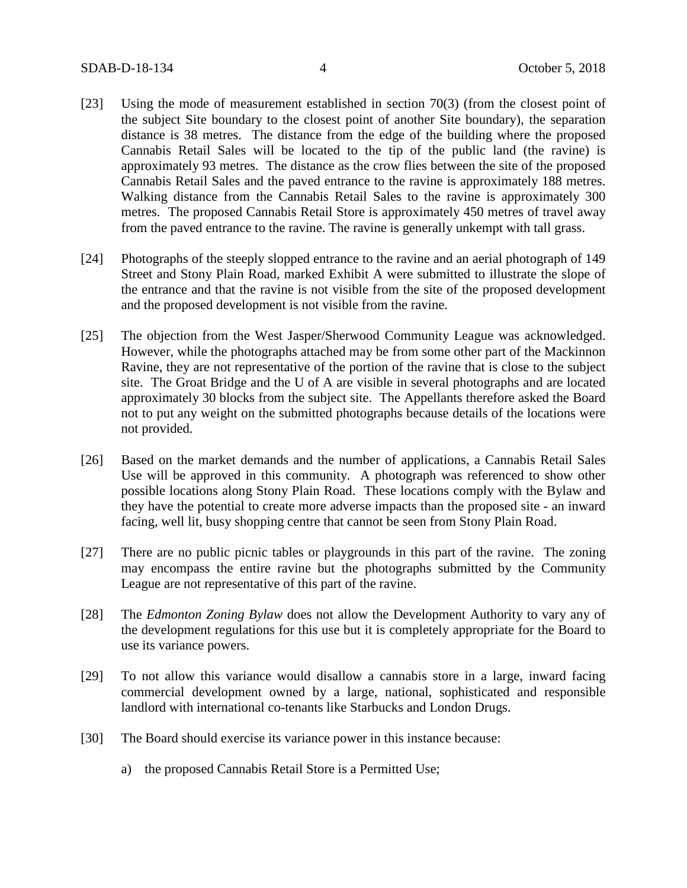- [23] Using the mode of measurement established in section 70(3) (from the closest point of the subject Site boundary to the closest point of another Site boundary), the separation distance is 38 metres. The distance from the edge of the building where the proposed Cannabis Retail Sales will be located to the tip of the public land (the ravine) is approximately 93 metres. The distance as the crow flies between the site of the proposed Cannabis Retail Sales and the paved entrance to the ravine is approximately 188 metres. Walking distance from the Cannabis Retail Sales to the ravine is approximately 300 metres. The proposed Cannabis Retail Store is approximately 450 metres of travel away from the paved entrance to the ravine. The ravine is generally unkempt with tall grass.
- [24] Photographs of the steeply slopped entrance to the ravine and an aerial photograph of 149 Street and Stony Plain Road, marked Exhibit A were submitted to illustrate the slope of the entrance and that the ravine is not visible from the site of the proposed development and the proposed development is not visible from the ravine.
- [25] The objection from the West Jasper/Sherwood Community League was acknowledged. However, while the photographs attached may be from some other part of the Mackinnon Ravine, they are not representative of the portion of the ravine that is close to the subject site. The Groat Bridge and the U of A are visible in several photographs and are located approximately 30 blocks from the subject site. The Appellants therefore asked the Board not to put any weight on the submitted photographs because details of the locations were not provided.
- [26] Based on the market demands and the number of applications, a Cannabis Retail Sales Use will be approved in this community. A photograph was referenced to show other possible locations along Stony Plain Road. These locations comply with the Bylaw and they have the potential to create more adverse impacts than the proposed site - an inward facing, well lit, busy shopping centre that cannot be seen from Stony Plain Road.
- [27] There are no public picnic tables or playgrounds in this part of the ravine. The zoning may encompass the entire ravine but the photographs submitted by the Community League are not representative of this part of the ravine.
- [28] The *Edmonton Zoning Bylaw* does not allow the Development Authority to vary any of the development regulations for this use but it is completely appropriate for the Board to use its variance powers.
- [29] To not allow this variance would disallow a cannabis store in a large, inward facing commercial development owned by a large, national, sophisticated and responsible landlord with international co-tenants like Starbucks and London Drugs.
- [30] The Board should exercise its variance power in this instance because:
	- a) the proposed Cannabis Retail Store is a Permitted Use;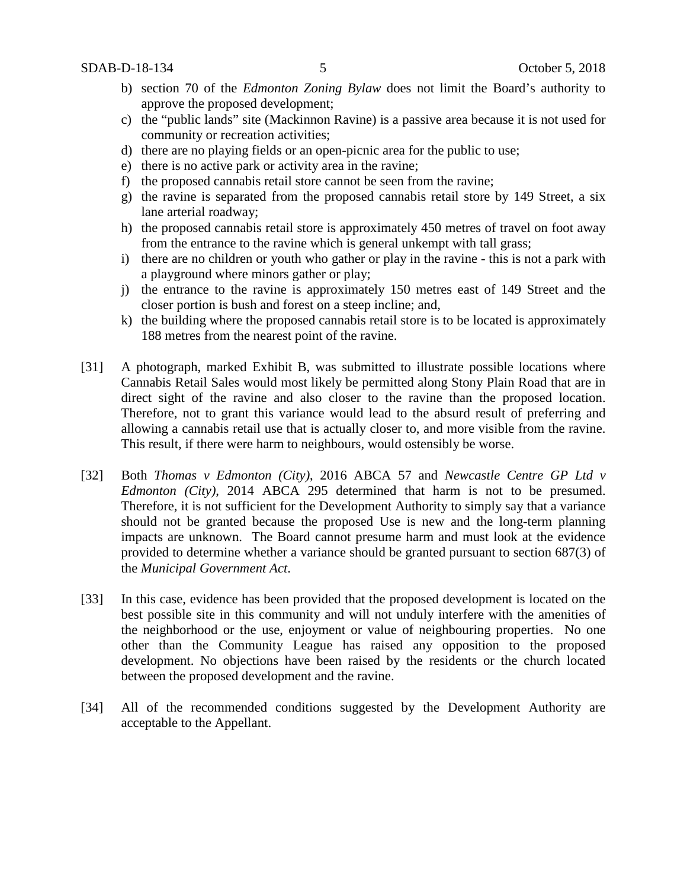- b) section 70 of the *Edmonton Zoning Bylaw* does not limit the Board's authority to approve the proposed development;
- c) the "public lands" site (Mackinnon Ravine) is a passive area because it is not used for community or recreation activities;
- d) there are no playing fields or an open-picnic area for the public to use;
- e) there is no active park or activity area in the ravine;
- f) the proposed cannabis retail store cannot be seen from the ravine;
- g) the ravine is separated from the proposed cannabis retail store by 149 Street, a six lane arterial roadway;
- h) the proposed cannabis retail store is approximately 450 metres of travel on foot away from the entrance to the ravine which is general unkempt with tall grass;
- i) there are no children or youth who gather or play in the ravine this is not a park with a playground where minors gather or play;
- j) the entrance to the ravine is approximately 150 metres east of 149 Street and the closer portion is bush and forest on a steep incline; and,
- k) the building where the proposed cannabis retail store is to be located is approximately 188 metres from the nearest point of the ravine.
- [31] A photograph, marked Exhibit B, was submitted to illustrate possible locations where Cannabis Retail Sales would most likely be permitted along Stony Plain Road that are in direct sight of the ravine and also closer to the ravine than the proposed location. Therefore, not to grant this variance would lead to the absurd result of preferring and allowing a cannabis retail use that is actually closer to, and more visible from the ravine. This result, if there were harm to neighbours, would ostensibly be worse.
- [32] Both *Thomas v Edmonton (City)*, 2016 ABCA 57 and *Newcastle Centre GP Ltd v Edmonton (City)*, 2014 ABCA 295 determined that harm is not to be presumed. Therefore, it is not sufficient for the Development Authority to simply say that a variance should not be granted because the proposed Use is new and the long-term planning impacts are unknown. The Board cannot presume harm and must look at the evidence provided to determine whether a variance should be granted pursuant to section 687(3) of the *Municipal Government Act*.
- [33] In this case, evidence has been provided that the proposed development is located on the best possible site in this community and will not unduly interfere with the amenities of the neighborhood or the use, enjoyment or value of neighbouring properties. No one other than the Community League has raised any opposition to the proposed development. No objections have been raised by the residents or the church located between the proposed development and the ravine.
- [34] All of the recommended conditions suggested by the Development Authority are acceptable to the Appellant.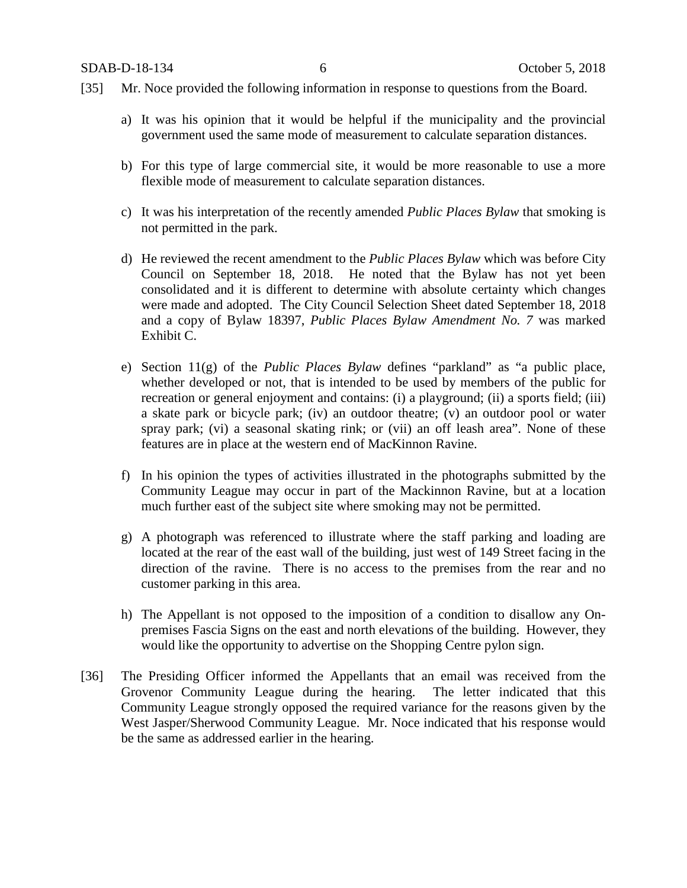- [35] Mr. Noce provided the following information in response to questions from the Board.
	- a) It was his opinion that it would be helpful if the municipality and the provincial government used the same mode of measurement to calculate separation distances.
	- b) For this type of large commercial site, it would be more reasonable to use a more flexible mode of measurement to calculate separation distances.
	- c) It was his interpretation of the recently amended *Public Places Bylaw* that smoking is not permitted in the park.
	- d) He reviewed the recent amendment to the *Public Places Bylaw* which was before City Council on September 18, 2018. He noted that the Bylaw has not yet been consolidated and it is different to determine with absolute certainty which changes were made and adopted. The City Council Selection Sheet dated September 18, 2018 and a copy of Bylaw 18397, *Public Places Bylaw Amendment No. 7* was marked Exhibit C.
	- e) Section 11(g) of the *Public Places Bylaw* defines "parkland" as "a public place, whether developed or not, that is intended to be used by members of the public for recreation or general enjoyment and contains: (i) a playground; (ii) a sports field; (iii) a skate park or bicycle park; (iv) an outdoor theatre; (v) an outdoor pool or water spray park; (vi) a seasonal skating rink; or (vii) an off leash area". None of these features are in place at the western end of MacKinnon Ravine.
	- f) In his opinion the types of activities illustrated in the photographs submitted by the Community League may occur in part of the Mackinnon Ravine, but at a location much further east of the subject site where smoking may not be permitted.
	- g) A photograph was referenced to illustrate where the staff parking and loading are located at the rear of the east wall of the building, just west of 149 Street facing in the direction of the ravine. There is no access to the premises from the rear and no customer parking in this area.
	- h) The Appellant is not opposed to the imposition of a condition to disallow any Onpremises Fascia Signs on the east and north elevations of the building. However, they would like the opportunity to advertise on the Shopping Centre pylon sign.
- [36] The Presiding Officer informed the Appellants that an email was received from the Grovenor Community League during the hearing. The letter indicated that this Community League strongly opposed the required variance for the reasons given by the West Jasper/Sherwood Community League. Mr. Noce indicated that his response would be the same as addressed earlier in the hearing.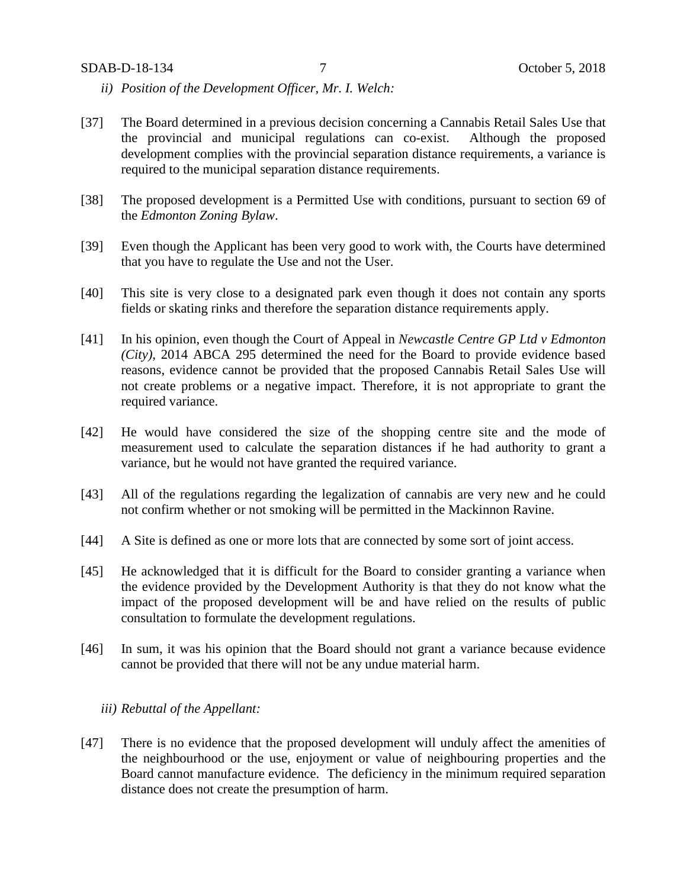- *ii) Position of the Development Officer, Mr. I. Welch:*
- [37] The Board determined in a previous decision concerning a Cannabis Retail Sales Use that the provincial and municipal regulations can co-exist. Although the proposed development complies with the provincial separation distance requirements, a variance is required to the municipal separation distance requirements.
- [38] The proposed development is a Permitted Use with conditions, pursuant to section 69 of the *Edmonton Zoning Bylaw*.
- [39] Even though the Applicant has been very good to work with, the Courts have determined that you have to regulate the Use and not the User.
- [40] This site is very close to a designated park even though it does not contain any sports fields or skating rinks and therefore the separation distance requirements apply.
- [41] In his opinion, even though the Court of Appeal in *Newcastle Centre GP Ltd v Edmonton (City)*, 2014 ABCA 295 determined the need for the Board to provide evidence based reasons, evidence cannot be provided that the proposed Cannabis Retail Sales Use will not create problems or a negative impact. Therefore, it is not appropriate to grant the required variance.
- [42] He would have considered the size of the shopping centre site and the mode of measurement used to calculate the separation distances if he had authority to grant a variance, but he would not have granted the required variance.
- [43] All of the regulations regarding the legalization of cannabis are very new and he could not confirm whether or not smoking will be permitted in the Mackinnon Ravine.
- [44] A Site is defined as one or more lots that are connected by some sort of joint access.
- [45] He acknowledged that it is difficult for the Board to consider granting a variance when the evidence provided by the Development Authority is that they do not know what the impact of the proposed development will be and have relied on the results of public consultation to formulate the development regulations.
- [46] In sum, it was his opinion that the Board should not grant a variance because evidence cannot be provided that there will not be any undue material harm.

## *iii) Rebuttal of the Appellant:*

[47] There is no evidence that the proposed development will unduly affect the amenities of the neighbourhood or the use, enjoyment or value of neighbouring properties and the Board cannot manufacture evidence. The deficiency in the minimum required separation distance does not create the presumption of harm.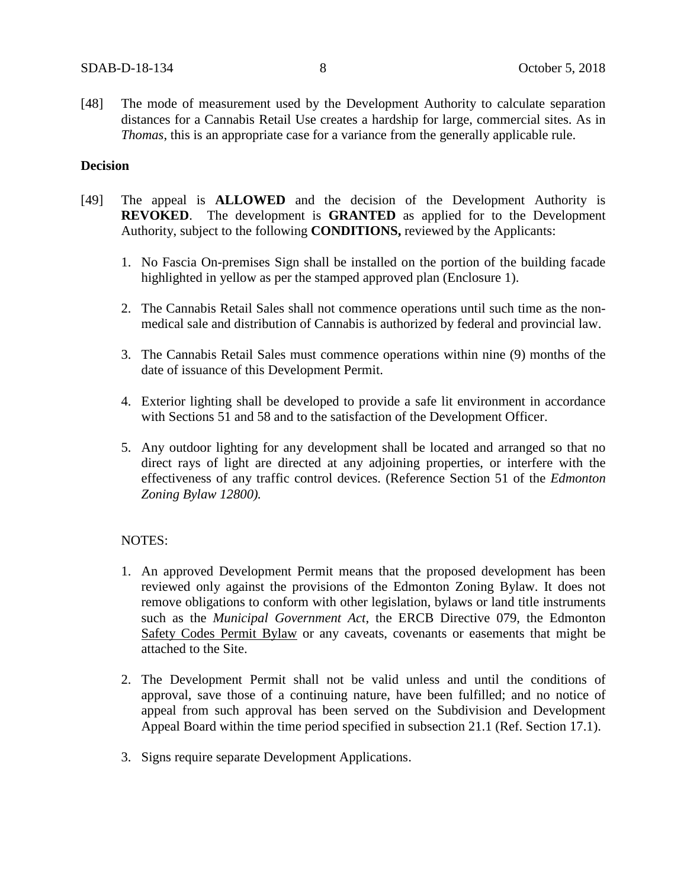[48] The mode of measurement used by the Development Authority to calculate separation distances for a Cannabis Retail Use creates a hardship for large, commercial sites. As in *Thomas*, this is an appropriate case for a variance from the generally applicable rule.

## **Decision**

- [49] The appeal is **ALLOWED** and the decision of the Development Authority is **REVOKED**. The development is **GRANTED** as applied for to the Development Authority, subject to the following **CONDITIONS,** reviewed by the Applicants:
	- 1. No Fascia On-premises Sign shall be installed on the portion of the building facade highlighted in yellow as per the stamped approved plan (Enclosure 1).
	- 2. The Cannabis Retail Sales shall not commence operations until such time as the nonmedical sale and distribution of Cannabis is authorized by federal and provincial law.
	- 3. The Cannabis Retail Sales must commence operations within nine (9) months of the date of issuance of this Development Permit.
	- 4. Exterior lighting shall be developed to provide a safe lit environment in accordance with Sections 51 and 58 and to the satisfaction of the Development Officer.
	- 5. Any outdoor lighting for any development shall be located and arranged so that no direct rays of light are directed at any adjoining properties, or interfere with the effectiveness of any traffic control devices. (Reference Section 51 of the *Edmonton Zoning Bylaw 12800).*

### NOTES:

- 1. An approved Development Permit means that the proposed development has been reviewed only against the provisions of the Edmonton Zoning Bylaw. It does not remove obligations to conform with other legislation, bylaws or land title instruments such as the *Municipal Government Act*, the ERCB Directive 079, the Edmonton Safety Codes Permit Bylaw or any caveats, covenants or easements that might be attached to the Site.
- 2. The Development Permit shall not be valid unless and until the conditions of approval, save those of a continuing nature, have been fulfilled; and no notice of appeal from such approval has been served on the Subdivision and Development Appeal Board within the time period specified in subsection 21.1 (Ref. Section 17.1).
- 3. Signs require separate Development Applications.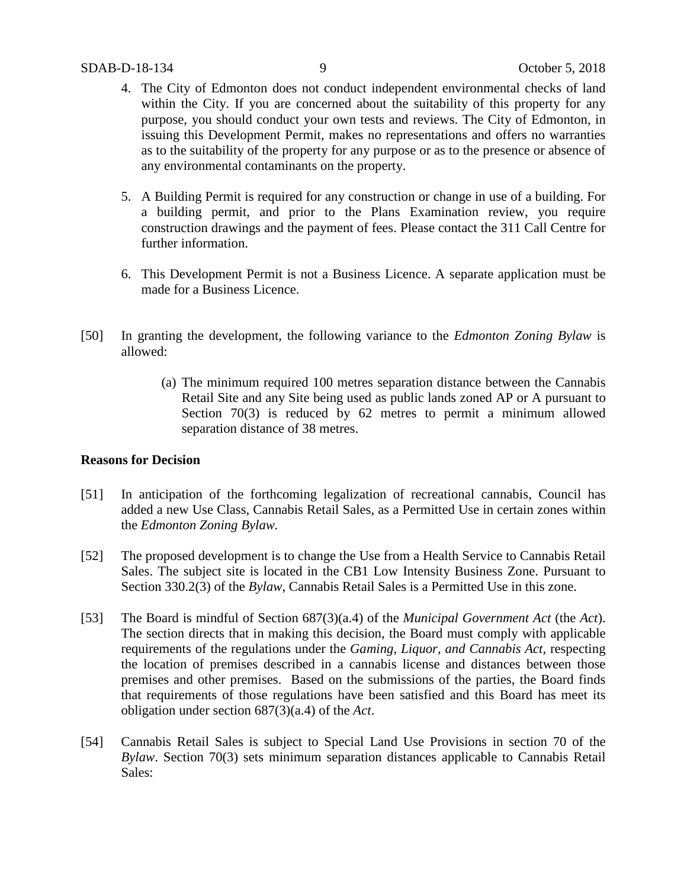- 4. The City of Edmonton does not conduct independent environmental checks of land within the City. If you are concerned about the suitability of this property for any purpose, you should conduct your own tests and reviews. The City of Edmonton, in issuing this Development Permit, makes no representations and offers no warranties as to the suitability of the property for any purpose or as to the presence or absence of any environmental contaminants on the property.
- 5. A Building Permit is required for any construction or change in use of a building. For a building permit, and prior to the Plans Examination review, you require construction drawings and the payment of fees. Please contact the 311 Call Centre for further information.
- 6. This Development Permit is not a Business Licence. A separate application must be made for a Business Licence.
- [50] In granting the development, the following variance to the *Edmonton Zoning Bylaw* is allowed:
	- (a) The minimum required 100 metres separation distance between the Cannabis Retail Site and any Site being used as public lands zoned AP or A pursuant to Section 70(3) is reduced by 62 metres to permit a minimum allowed separation distance of 38 metres.

## **Reasons for Decision**

- [51] In anticipation of the forthcoming legalization of recreational cannabis, Council has added a new Use Class, Cannabis Retail Sales, as a Permitted Use in certain zones within the *Edmonton Zoning Bylaw.*
- [52] The proposed development is to change the Use from a Health Service to Cannabis Retail Sales. The subject site is located in the CB1 Low Intensity Business Zone. Pursuant to Section 330.2(3) of the *Bylaw*, Cannabis Retail Sales is a Permitted Use in this zone.
- [53] The Board is mindful of Section 687(3)(a.4) of the *Municipal Government Act* (the *Act*). The section directs that in making this decision, the Board must comply with applicable requirements of the regulations under the *Gaming, Liquor, and Cannabis Act,* respecting the location of premises described in a cannabis license and distances between those premises and other premises. Based on the submissions of the parties, the Board finds that requirements of those regulations have been satisfied and this Board has meet its obligation under section 687(3)(a.4) of the *Act*.
- [54] Cannabis Retail Sales is subject to Special Land Use Provisions in section 70 of the *Bylaw*. Section 70(3) sets minimum separation distances applicable to Cannabis Retail Sales: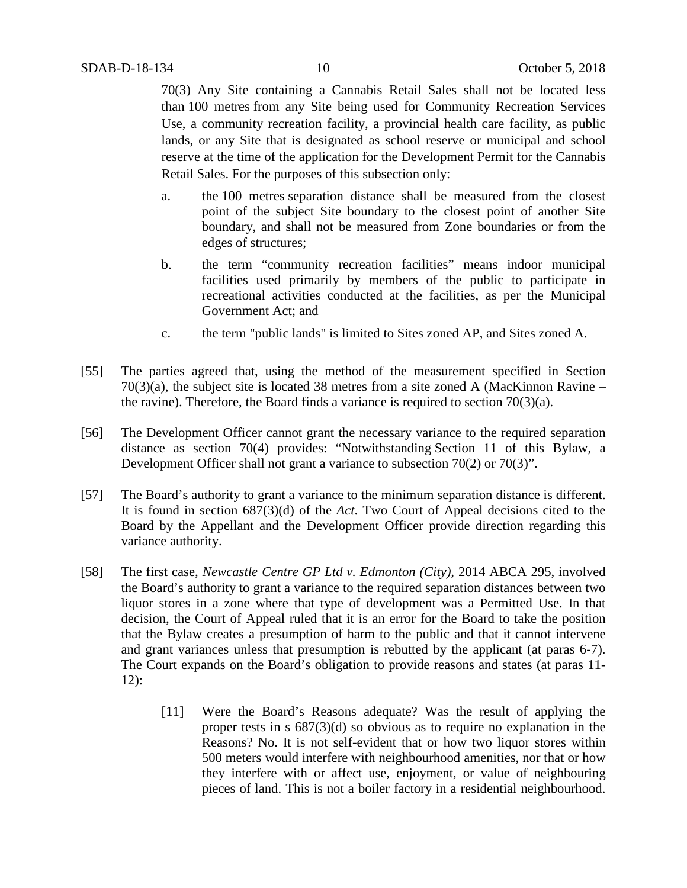70(3) Any Site containing a Cannabis Retail Sales shall not be located less than 100 metres from any Site being used for Community Recreation Services Use, a community recreation facility, a provincial health care facility, as public lands, or any Site that is designated as school reserve or municipal and school reserve at the time of the application for the Development Permit for the Cannabis Retail Sales. For the purposes of this subsection only:

- a. the 100 metres separation distance shall be measured from the closest point of the subject Site boundary to the closest point of another Site boundary, and shall not be measured from Zone boundaries or from the edges of structures;
- b. the term "community recreation facilities" means indoor municipal facilities used primarily by members of the public to participate in recreational activities conducted at the facilities, as per the Municipal Government Act; and
- c. the term "public lands" is limited to Sites zoned AP, and Sites zoned A.
- [55] The parties agreed that, using the method of the measurement specified in Section  $70(3)(a)$ , the subject site is located 38 metres from a site zoned A (MacKinnon Ravine – the ravine). Therefore, the Board finds a variance is required to section  $70(3)(a)$ .
- [56] The Development Officer cannot grant the necessary variance to the required separation distance as section 70(4) provides: "Notwithstanding Section 11 of this Bylaw, a Development Officer shall not grant a variance to subsection 70(2) or 70(3)".
- [57] The Board's authority to grant a variance to the minimum separation distance is different. It is found in section 687(3)(d) of the *Act*. Two Court of Appeal decisions cited to the Board by the Appellant and the Development Officer provide direction regarding this variance authority.
- [58] The first case, *Newcastle Centre GP Ltd v. Edmonton (City),* 2014 ABCA 295, involved the Board's authority to grant a variance to the required separation distances between two liquor stores in a zone where that type of development was a Permitted Use. In that decision, the Court of Appeal ruled that it is an error for the Board to take the position that the Bylaw creates a presumption of harm to the public and that it cannot intervene and grant variances unless that presumption is rebutted by the applicant (at paras 6-7). The Court expands on the Board's obligation to provide reasons and states (at paras 11- 12):
	- [11] Were the Board's Reasons adequate? Was the result of applying the proper tests in s 687(3)(d) so obvious as to require no explanation in the Reasons? No. It is not self-evident that or how two liquor stores within 500 meters would interfere with neighbourhood amenities, nor that or how they interfere with or affect use, enjoyment, or value of neighbouring pieces of land. This is not a boiler factory in a residential neighbourhood.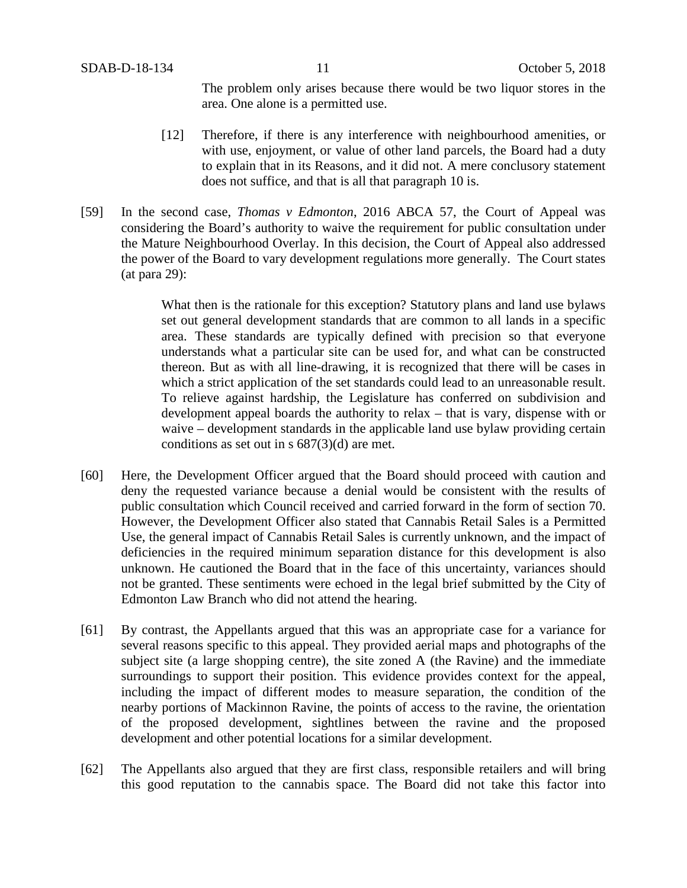The problem only arises because there would be two liquor stores in the area. One alone is a permitted use.

- [12] Therefore, if there is any interference with neighbourhood amenities, or with use, enjoyment, or value of other land parcels, the Board had a duty to explain that in its Reasons, and it did not. A mere conclusory statement does not suffice, and that is all that paragraph 10 is.
- [59] In the second case, *Thomas v Edmonton*, 2016 ABCA 57, the Court of Appeal was considering the Board's authority to waive the requirement for public consultation under the Mature Neighbourhood Overlay. In this decision, the Court of Appeal also addressed the power of the Board to vary development regulations more generally. The Court states (at para 29):

What then is the rationale for this exception? Statutory plans and land use bylaws set out general development standards that are common to all lands in a specific area. These standards are typically defined with precision so that everyone understands what a particular site can be used for, and what can be constructed thereon. But as with all line-drawing, it is recognized that there will be cases in which a strict application of the set standards could lead to an unreasonable result. To relieve against hardship, the Legislature has conferred on subdivision and development appeal boards the authority to relax – that is vary, dispense with or waive – development standards in the applicable land use bylaw providing certain conditions as set out in s 687(3)(d) are met.

- [60] Here, the Development Officer argued that the Board should proceed with caution and deny the requested variance because a denial would be consistent with the results of public consultation which Council received and carried forward in the form of section 70. However, the Development Officer also stated that Cannabis Retail Sales is a Permitted Use, the general impact of Cannabis Retail Sales is currently unknown, and the impact of deficiencies in the required minimum separation distance for this development is also unknown. He cautioned the Board that in the face of this uncertainty, variances should not be granted. These sentiments were echoed in the legal brief submitted by the City of Edmonton Law Branch who did not attend the hearing.
- [61] By contrast, the Appellants argued that this was an appropriate case for a variance for several reasons specific to this appeal. They provided aerial maps and photographs of the subject site (a large shopping centre), the site zoned A (the Ravine) and the immediate surroundings to support their position. This evidence provides context for the appeal, including the impact of different modes to measure separation, the condition of the nearby portions of Mackinnon Ravine, the points of access to the ravine, the orientation of the proposed development, sightlines between the ravine and the proposed development and other potential locations for a similar development.
- [62] The Appellants also argued that they are first class, responsible retailers and will bring this good reputation to the cannabis space. The Board did not take this factor into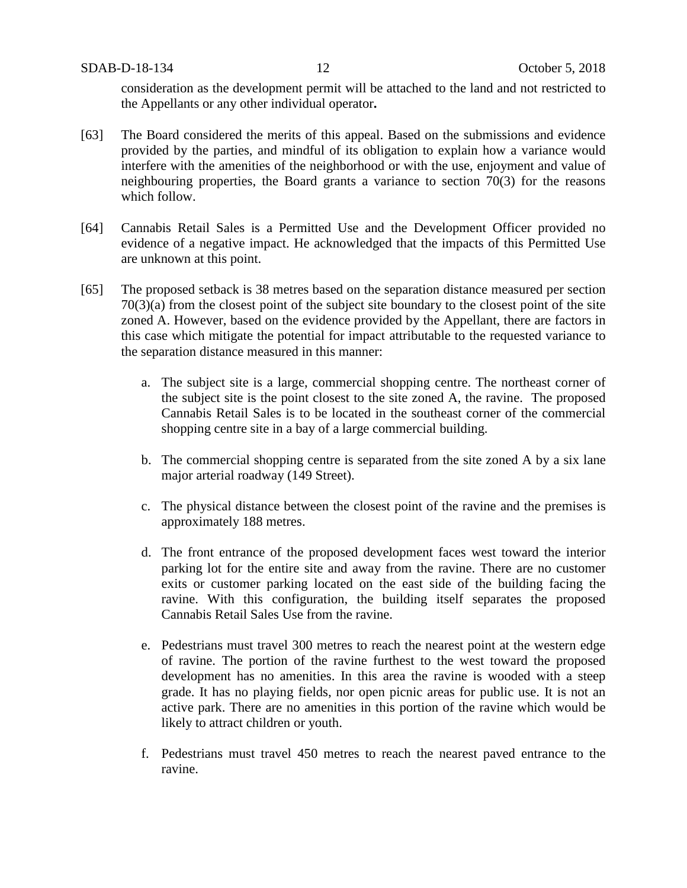consideration as the development permit will be attached to the land and not restricted to the Appellants or any other individual operator**.**

- [63] The Board considered the merits of this appeal. Based on the submissions and evidence provided by the parties, and mindful of its obligation to explain how a variance would interfere with the amenities of the neighborhood or with the use, enjoyment and value of neighbouring properties, the Board grants a variance to section 70(3) for the reasons which follow.
- [64] Cannabis Retail Sales is a Permitted Use and the Development Officer provided no evidence of a negative impact. He acknowledged that the impacts of this Permitted Use are unknown at this point.
- [65] The proposed setback is 38 metres based on the separation distance measured per section 70(3)(a) from the closest point of the subject site boundary to the closest point of the site zoned A. However, based on the evidence provided by the Appellant, there are factors in this case which mitigate the potential for impact attributable to the requested variance to the separation distance measured in this manner:
	- a. The subject site is a large, commercial shopping centre. The northeast corner of the subject site is the point closest to the site zoned A, the ravine. The proposed Cannabis Retail Sales is to be located in the southeast corner of the commercial shopping centre site in a bay of a large commercial building.
	- b. The commercial shopping centre is separated from the site zoned A by a six lane major arterial roadway (149 Street).
	- c. The physical distance between the closest point of the ravine and the premises is approximately 188 metres.
	- d. The front entrance of the proposed development faces west toward the interior parking lot for the entire site and away from the ravine. There are no customer exits or customer parking located on the east side of the building facing the ravine. With this configuration, the building itself separates the proposed Cannabis Retail Sales Use from the ravine.
	- e. Pedestrians must travel 300 metres to reach the nearest point at the western edge of ravine. The portion of the ravine furthest to the west toward the proposed development has no amenities. In this area the ravine is wooded with a steep grade. It has no playing fields, nor open picnic areas for public use. It is not an active park. There are no amenities in this portion of the ravine which would be likely to attract children or youth.
	- f. Pedestrians must travel 450 metres to reach the nearest paved entrance to the ravine.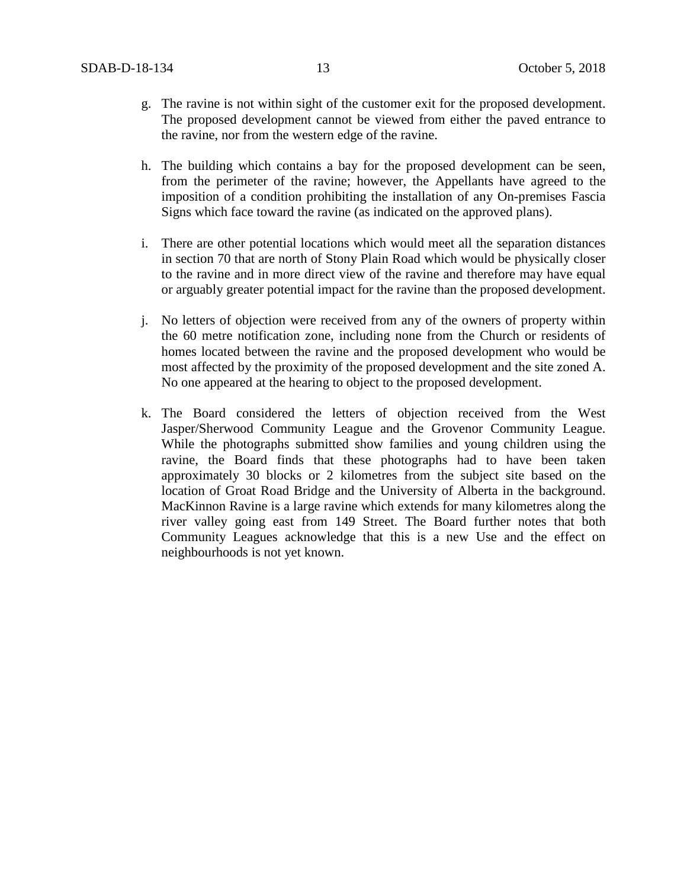- g. The ravine is not within sight of the customer exit for the proposed development. The proposed development cannot be viewed from either the paved entrance to the ravine, nor from the western edge of the ravine.
- h. The building which contains a bay for the proposed development can be seen, from the perimeter of the ravine; however, the Appellants have agreed to the imposition of a condition prohibiting the installation of any On-premises Fascia Signs which face toward the ravine (as indicated on the approved plans).
- i. There are other potential locations which would meet all the separation distances in section 70 that are north of Stony Plain Road which would be physically closer to the ravine and in more direct view of the ravine and therefore may have equal or arguably greater potential impact for the ravine than the proposed development.
- j. No letters of objection were received from any of the owners of property within the 60 metre notification zone, including none from the Church or residents of homes located between the ravine and the proposed development who would be most affected by the proximity of the proposed development and the site zoned A. No one appeared at the hearing to object to the proposed development.
- k. The Board considered the letters of objection received from the West Jasper/Sherwood Community League and the Grovenor Community League. While the photographs submitted show families and young children using the ravine, the Board finds that these photographs had to have been taken approximately 30 blocks or 2 kilometres from the subject site based on the location of Groat Road Bridge and the University of Alberta in the background. MacKinnon Ravine is a large ravine which extends for many kilometres along the river valley going east from 149 Street. The Board further notes that both Community Leagues acknowledge that this is a new Use and the effect on neighbourhoods is not yet known.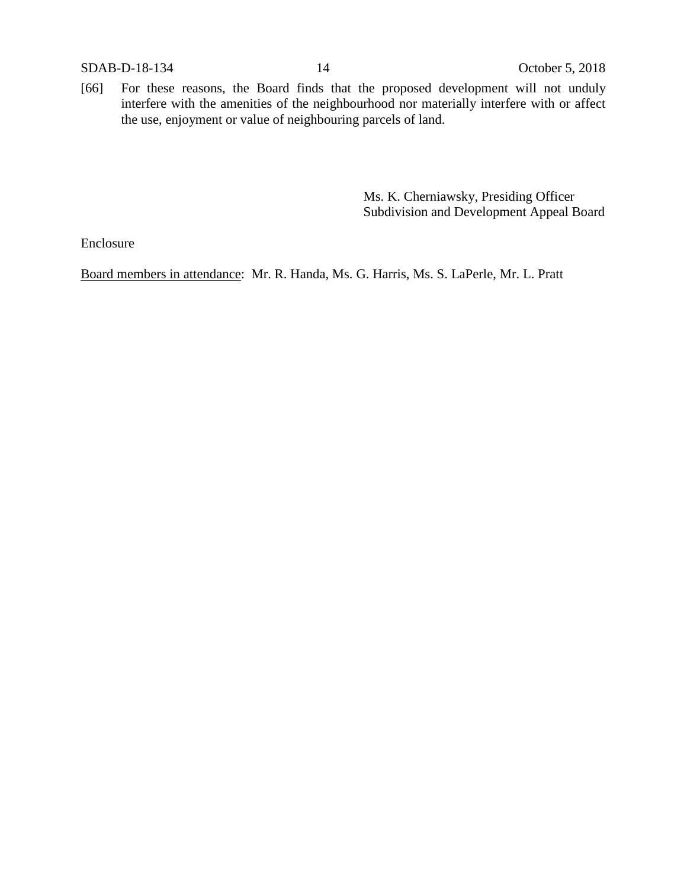[66] For these reasons, the Board finds that the proposed development will not unduly interfere with the amenities of the neighbourhood nor materially interfere with or affect the use, enjoyment or value of neighbouring parcels of land.

> Ms. K. Cherniawsky, Presiding Officer Subdivision and Development Appeal Board

Enclosure

Board members in attendance: Mr. R. Handa, Ms. G. Harris, Ms. S. LaPerle, Mr. L. Pratt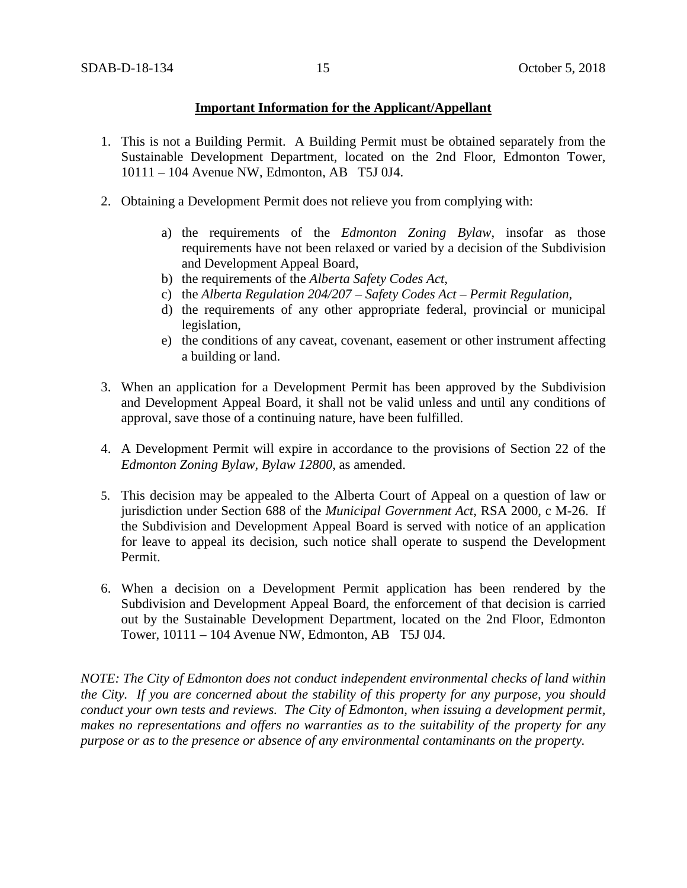## **Important Information for the Applicant/Appellant**

- 1. This is not a Building Permit. A Building Permit must be obtained separately from the Sustainable Development Department, located on the 2nd Floor, Edmonton Tower, 10111 – 104 Avenue NW, Edmonton, AB T5J 0J4.
- 2. Obtaining a Development Permit does not relieve you from complying with:
	- a) the requirements of the *Edmonton Zoning Bylaw*, insofar as those requirements have not been relaxed or varied by a decision of the Subdivision and Development Appeal Board,
	- b) the requirements of the *Alberta Safety Codes Act*,
	- c) the *Alberta Regulation 204/207 – Safety Codes Act – Permit Regulation*,
	- d) the requirements of any other appropriate federal, provincial or municipal legislation,
	- e) the conditions of any caveat, covenant, easement or other instrument affecting a building or land.
- 3. When an application for a Development Permit has been approved by the Subdivision and Development Appeal Board, it shall not be valid unless and until any conditions of approval, save those of a continuing nature, have been fulfilled.
- 4. A Development Permit will expire in accordance to the provisions of Section 22 of the *Edmonton Zoning Bylaw, Bylaw 12800*, as amended.
- 5. This decision may be appealed to the Alberta Court of Appeal on a question of law or jurisdiction under Section 688 of the *Municipal Government Act*, RSA 2000, c M-26. If the Subdivision and Development Appeal Board is served with notice of an application for leave to appeal its decision, such notice shall operate to suspend the Development Permit.
- 6. When a decision on a Development Permit application has been rendered by the Subdivision and Development Appeal Board, the enforcement of that decision is carried out by the Sustainable Development Department, located on the 2nd Floor, Edmonton Tower, 10111 – 104 Avenue NW, Edmonton, AB T5J 0J4.

*NOTE: The City of Edmonton does not conduct independent environmental checks of land within the City. If you are concerned about the stability of this property for any purpose, you should conduct your own tests and reviews. The City of Edmonton, when issuing a development permit, makes no representations and offers no warranties as to the suitability of the property for any purpose or as to the presence or absence of any environmental contaminants on the property.*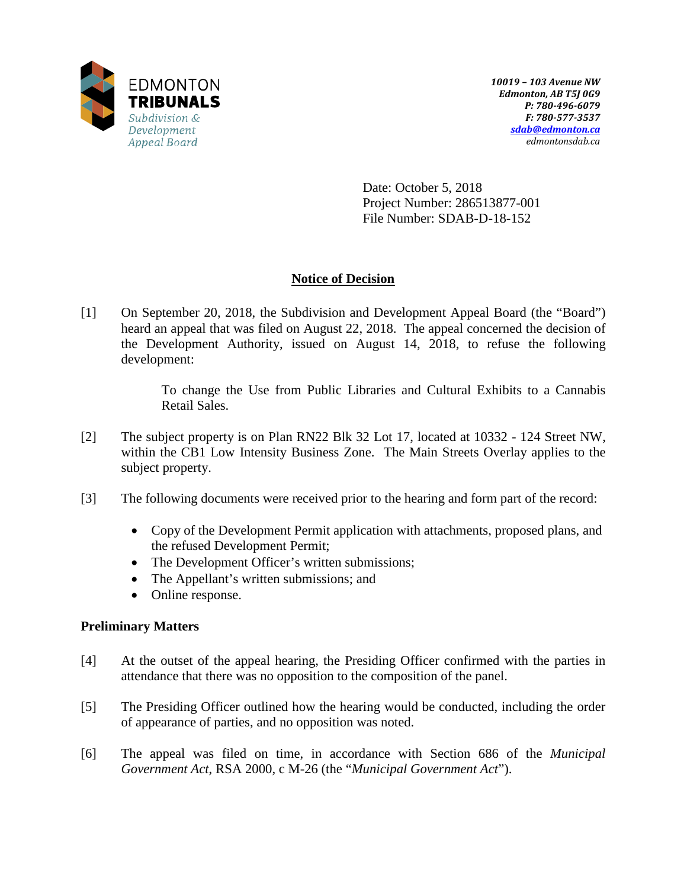

Date: October 5, 2018 Project Number: 286513877-001 File Number: SDAB-D-18-152

# **Notice of Decision**

[1] On September 20, 2018, the Subdivision and Development Appeal Board (the "Board") heard an appeal that was filed on August 22, 2018. The appeal concerned the decision of the Development Authority, issued on August 14, 2018, to refuse the following development:

> To change the Use from Public Libraries and Cultural Exhibits to a Cannabis Retail Sales.

- [2] The subject property is on Plan RN22 Blk 32 Lot 17, located at 10332 124 Street NW, within the CB1 Low Intensity Business Zone. The Main Streets Overlay applies to the subject property.
- [3] The following documents were received prior to the hearing and form part of the record:
	- Copy of the Development Permit application with attachments, proposed plans, and the refused Development Permit;
	- The Development Officer's written submissions;
	- The Appellant's written submissions; and
	- Online response.

## **Preliminary Matters**

- [4] At the outset of the appeal hearing, the Presiding Officer confirmed with the parties in attendance that there was no opposition to the composition of the panel.
- [5] The Presiding Officer outlined how the hearing would be conducted, including the order of appearance of parties, and no opposition was noted.
- [6] The appeal was filed on time, in accordance with Section 686 of the *Municipal Government Act*, RSA 2000, c M-26 (the "*Municipal Government Act*").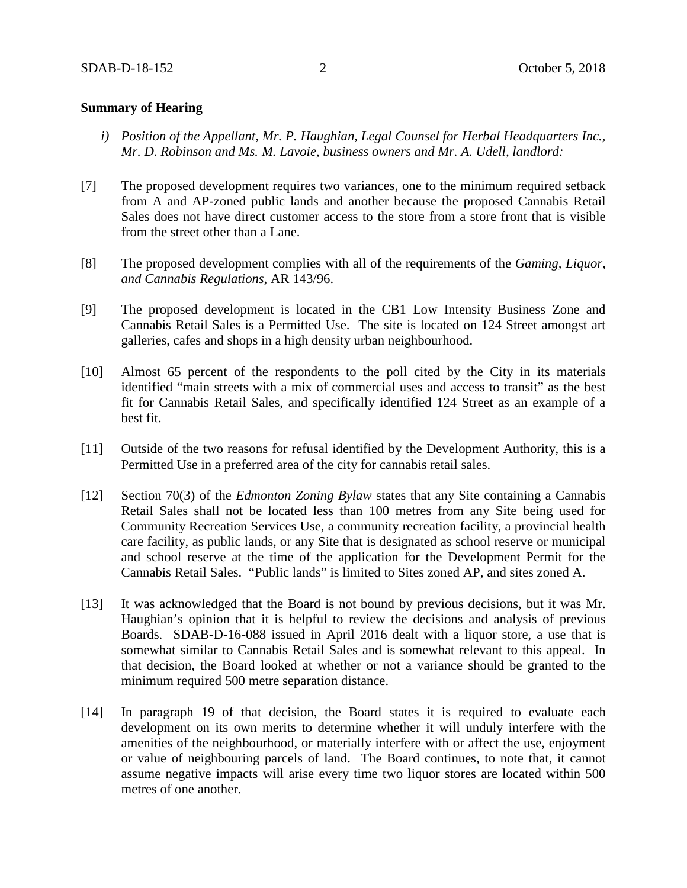### **Summary of Hearing**

- *i) Position of the Appellant, Mr. P. Haughian, Legal Counsel for Herbal Headquarters Inc., Mr. D. Robinson and Ms. M. Lavoie, business owners and Mr. A. Udell, landlord:*
- [7] The proposed development requires two variances, one to the minimum required setback from A and AP-zoned public lands and another because the proposed Cannabis Retail Sales does not have direct customer access to the store from a store front that is visible from the street other than a Lane.
- [8] The proposed development complies with all of the requirements of the *Gaming, Liquor, and Cannabis Regulations*, AR 143/96.
- [9] The proposed development is located in the CB1 Low Intensity Business Zone and Cannabis Retail Sales is a Permitted Use. The site is located on 124 Street amongst art galleries, cafes and shops in a high density urban neighbourhood.
- [10] Almost 65 percent of the respondents to the poll cited by the City in its materials identified "main streets with a mix of commercial uses and access to transit" as the best fit for Cannabis Retail Sales, and specifically identified 124 Street as an example of a best fit.
- [11] Outside of the two reasons for refusal identified by the Development Authority, this is a Permitted Use in a preferred area of the city for cannabis retail sales.
- [12] Section 70(3) of the *Edmonton Zoning Bylaw* states that any Site containing a Cannabis Retail Sales shall not be located less than 100 metres from any Site being used for Community Recreation Services Use, a community recreation facility, a provincial health care facility, as public lands, or any Site that is designated as school reserve or municipal and school reserve at the time of the application for the Development Permit for the Cannabis Retail Sales. "Public lands" is limited to Sites zoned AP, and sites zoned A.
- [13] It was acknowledged that the Board is not bound by previous decisions, but it was Mr. Haughian's opinion that it is helpful to review the decisions and analysis of previous Boards. SDAB-D-16-088 issued in April 2016 dealt with a liquor store, a use that is somewhat similar to Cannabis Retail Sales and is somewhat relevant to this appeal. In that decision, the Board looked at whether or not a variance should be granted to the minimum required 500 metre separation distance.
- [14] In paragraph 19 of that decision, the Board states it is required to evaluate each development on its own merits to determine whether it will unduly interfere with the amenities of the neighbourhood, or materially interfere with or affect the use, enjoyment or value of neighbouring parcels of land. The Board continues, to note that, it cannot assume negative impacts will arise every time two liquor stores are located within 500 metres of one another.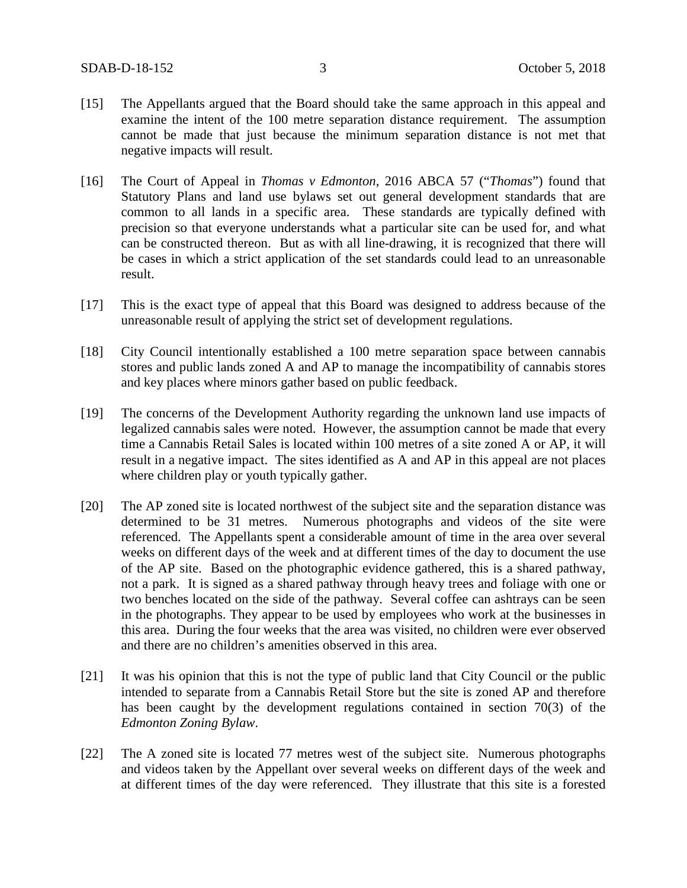- [15] The Appellants argued that the Board should take the same approach in this appeal and examine the intent of the 100 metre separation distance requirement. The assumption cannot be made that just because the minimum separation distance is not met that negative impacts will result.
- [16] The Court of Appeal in *Thomas v Edmonton*, 2016 ABCA 57 ("*Thomas*") found that Statutory Plans and land use bylaws set out general development standards that are common to all lands in a specific area. These standards are typically defined with precision so that everyone understands what a particular site can be used for, and what can be constructed thereon. But as with all line-drawing, it is recognized that there will be cases in which a strict application of the set standards could lead to an unreasonable result.
- [17] This is the exact type of appeal that this Board was designed to address because of the unreasonable result of applying the strict set of development regulations.
- [18] City Council intentionally established a 100 metre separation space between cannabis stores and public lands zoned A and AP to manage the incompatibility of cannabis stores and key places where minors gather based on public feedback.
- [19] The concerns of the Development Authority regarding the unknown land use impacts of legalized cannabis sales were noted. However, the assumption cannot be made that every time a Cannabis Retail Sales is located within 100 metres of a site zoned A or AP, it will result in a negative impact. The sites identified as A and AP in this appeal are not places where children play or youth typically gather.
- [20] The AP zoned site is located northwest of the subject site and the separation distance was determined to be 31 metres. Numerous photographs and videos of the site were referenced. The Appellants spent a considerable amount of time in the area over several weeks on different days of the week and at different times of the day to document the use of the AP site. Based on the photographic evidence gathered, this is a shared pathway, not a park. It is signed as a shared pathway through heavy trees and foliage with one or two benches located on the side of the pathway. Several coffee can ashtrays can be seen in the photographs. They appear to be used by employees who work at the businesses in this area. During the four weeks that the area was visited, no children were ever observed and there are no children's amenities observed in this area.
- [21] It was his opinion that this is not the type of public land that City Council or the public intended to separate from a Cannabis Retail Store but the site is zoned AP and therefore has been caught by the development regulations contained in section 70(3) of the *Edmonton Zoning Bylaw*.
- [22] The A zoned site is located 77 metres west of the subject site. Numerous photographs and videos taken by the Appellant over several weeks on different days of the week and at different times of the day were referenced. They illustrate that this site is a forested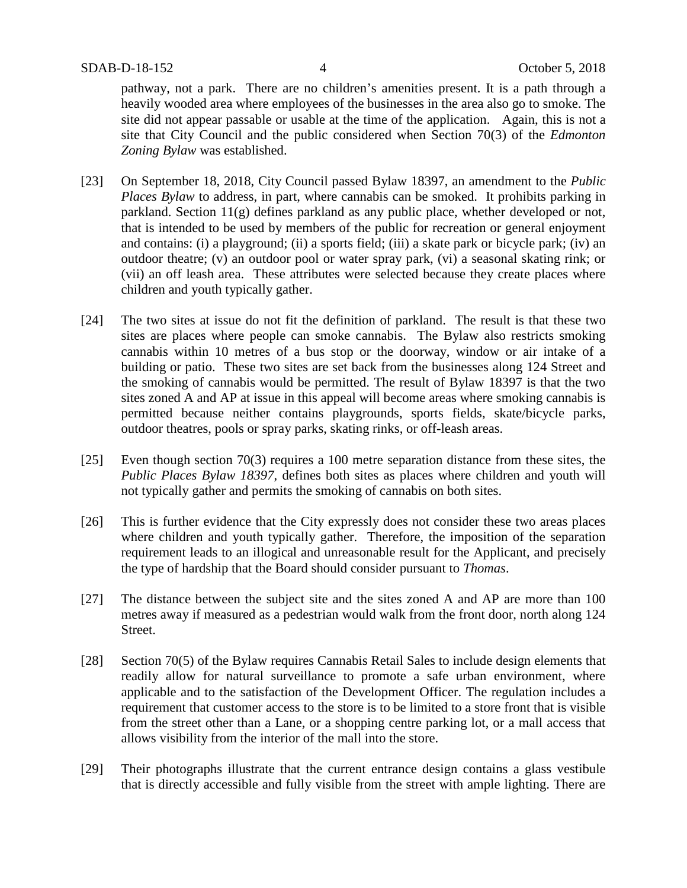pathway, not a park. There are no children's amenities present. It is a path through a heavily wooded area where employees of the businesses in the area also go to smoke. The site did not appear passable or usable at the time of the application. Again, this is not a site that City Council and the public considered when Section 70(3) of the *Edmonton Zoning Bylaw* was established.

- [23] On September 18, 2018, City Council passed Bylaw 18397, an amendment to the *Public Places Bylaw* to address, in part, where cannabis can be smoked. It prohibits parking in parkland. Section  $11(g)$  defines parkland as any public place, whether developed or not, that is intended to be used by members of the public for recreation or general enjoyment and contains: (i) a playground; (ii) a sports field; (iii) a skate park or bicycle park; (iv) an outdoor theatre; (v) an outdoor pool or water spray park, (vi) a seasonal skating rink; or (vii) an off leash area. These attributes were selected because they create places where children and youth typically gather.
- [24] The two sites at issue do not fit the definition of parkland. The result is that these two sites are places where people can smoke cannabis. The Bylaw also restricts smoking cannabis within 10 metres of a bus stop or the doorway, window or air intake of a building or patio. These two sites are set back from the businesses along 124 Street and the smoking of cannabis would be permitted. The result of Bylaw 18397 is that the two sites zoned A and AP at issue in this appeal will become areas where smoking cannabis is permitted because neither contains playgrounds, sports fields, skate/bicycle parks, outdoor theatres, pools or spray parks, skating rinks, or off-leash areas.
- [25] Even though section 70(3) requires a 100 metre separation distance from these sites, the *Public Places Bylaw 18397*, defines both sites as places where children and youth will not typically gather and permits the smoking of cannabis on both sites.
- [26] This is further evidence that the City expressly does not consider these two areas places where children and youth typically gather. Therefore, the imposition of the separation requirement leads to an illogical and unreasonable result for the Applicant, and precisely the type of hardship that the Board should consider pursuant to *Thomas*.
- [27] The distance between the subject site and the sites zoned A and AP are more than 100 metres away if measured as a pedestrian would walk from the front door, north along 124 Street.
- [28] Section 70(5) of the Bylaw requires Cannabis Retail Sales to include design elements that readily allow for natural surveillance to promote a safe urban environment, where applicable and to the satisfaction of the Development Officer. The regulation includes a requirement that customer access to the store is to be limited to a store front that is visible from the street other than a Lane, or a shopping centre parking lot, or a mall access that allows visibility from the interior of the mall into the store.
- [29] Their photographs illustrate that the current entrance design contains a glass vestibule that is directly accessible and fully visible from the street with ample lighting. There are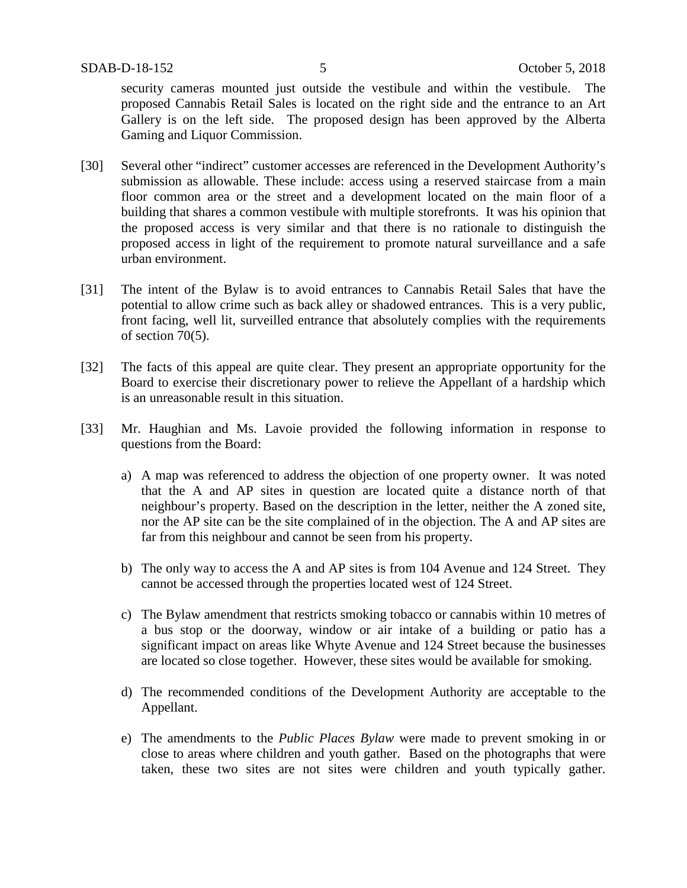security cameras mounted just outside the vestibule and within the vestibule. The proposed Cannabis Retail Sales is located on the right side and the entrance to an Art Gallery is on the left side. The proposed design has been approved by the Alberta Gaming and Liquor Commission.

- [30] Several other "indirect" customer accesses are referenced in the Development Authority's submission as allowable. These include: access using a reserved staircase from a main floor common area or the street and a development located on the main floor of a building that shares a common vestibule with multiple storefronts. It was his opinion that the proposed access is very similar and that there is no rationale to distinguish the proposed access in light of the requirement to promote natural surveillance and a safe urban environment.
- [31] The intent of the Bylaw is to avoid entrances to Cannabis Retail Sales that have the potential to allow crime such as back alley or shadowed entrances. This is a very public, front facing, well lit, surveilled entrance that absolutely complies with the requirements of section 70(5).
- [32] The facts of this appeal are quite clear. They present an appropriate opportunity for the Board to exercise their discretionary power to relieve the Appellant of a hardship which is an unreasonable result in this situation.
- [33] Mr. Haughian and Ms. Lavoie provided the following information in response to questions from the Board:
	- a) A map was referenced to address the objection of one property owner. It was noted that the A and AP sites in question are located quite a distance north of that neighbour's property. Based on the description in the letter, neither the A zoned site, nor the AP site can be the site complained of in the objection. The A and AP sites are far from this neighbour and cannot be seen from his property.
	- b) The only way to access the A and AP sites is from 104 Avenue and 124 Street. They cannot be accessed through the properties located west of 124 Street.
	- c) The Bylaw amendment that restricts smoking tobacco or cannabis within 10 metres of a bus stop or the doorway, window or air intake of a building or patio has a significant impact on areas like Whyte Avenue and 124 Street because the businesses are located so close together. However, these sites would be available for smoking.
	- d) The recommended conditions of the Development Authority are acceptable to the Appellant.
	- e) The amendments to the *Public Places Bylaw* were made to prevent smoking in or close to areas where children and youth gather. Based on the photographs that were taken, these two sites are not sites were children and youth typically gather.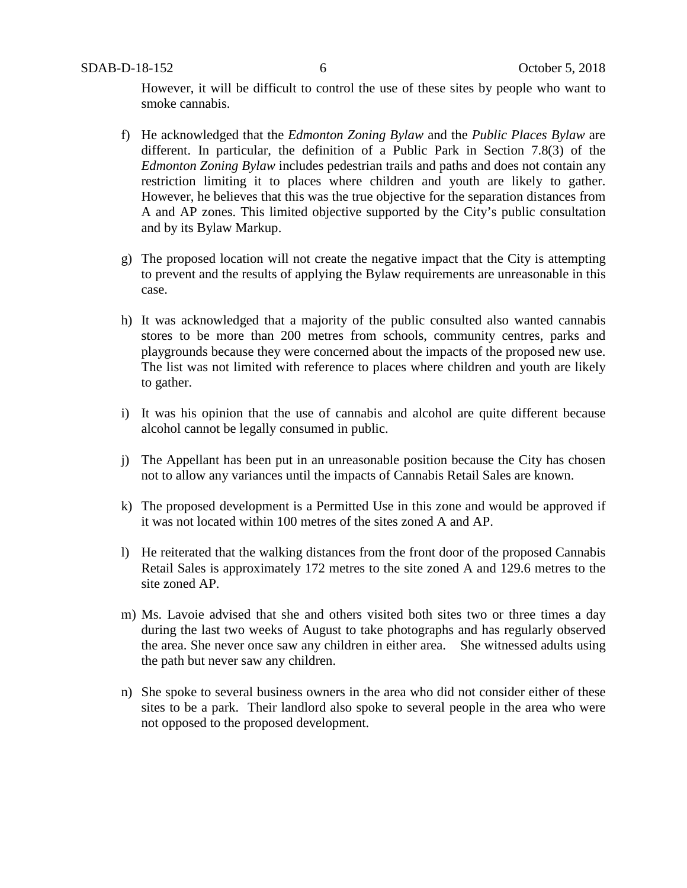However, it will be difficult to control the use of these sites by people who want to smoke cannabis.

- f) He acknowledged that the *Edmonton Zoning Bylaw* and the *Public Places Bylaw* are different. In particular, the definition of a Public Park in Section 7.8(3) of the *Edmonton Zoning Bylaw* includes pedestrian trails and paths and does not contain any restriction limiting it to places where children and youth are likely to gather. However, he believes that this was the true objective for the separation distances from A and AP zones. This limited objective supported by the City's public consultation and by its Bylaw Markup.
- g) The proposed location will not create the negative impact that the City is attempting to prevent and the results of applying the Bylaw requirements are unreasonable in this case.
- h) It was acknowledged that a majority of the public consulted also wanted cannabis stores to be more than 200 metres from schools, community centres, parks and playgrounds because they were concerned about the impacts of the proposed new use. The list was not limited with reference to places where children and youth are likely to gather.
- i) It was his opinion that the use of cannabis and alcohol are quite different because alcohol cannot be legally consumed in public.
- j) The Appellant has been put in an unreasonable position because the City has chosen not to allow any variances until the impacts of Cannabis Retail Sales are known.
- k) The proposed development is a Permitted Use in this zone and would be approved if it was not located within 100 metres of the sites zoned A and AP.
- l) He reiterated that the walking distances from the front door of the proposed Cannabis Retail Sales is approximately 172 metres to the site zoned A and 129.6 metres to the site zoned AP.
- m) Ms. Lavoie advised that she and others visited both sites two or three times a day during the last two weeks of August to take photographs and has regularly observed the area. She never once saw any children in either area. She witnessed adults using the path but never saw any children.
- n) She spoke to several business owners in the area who did not consider either of these sites to be a park. Their landlord also spoke to several people in the area who were not opposed to the proposed development.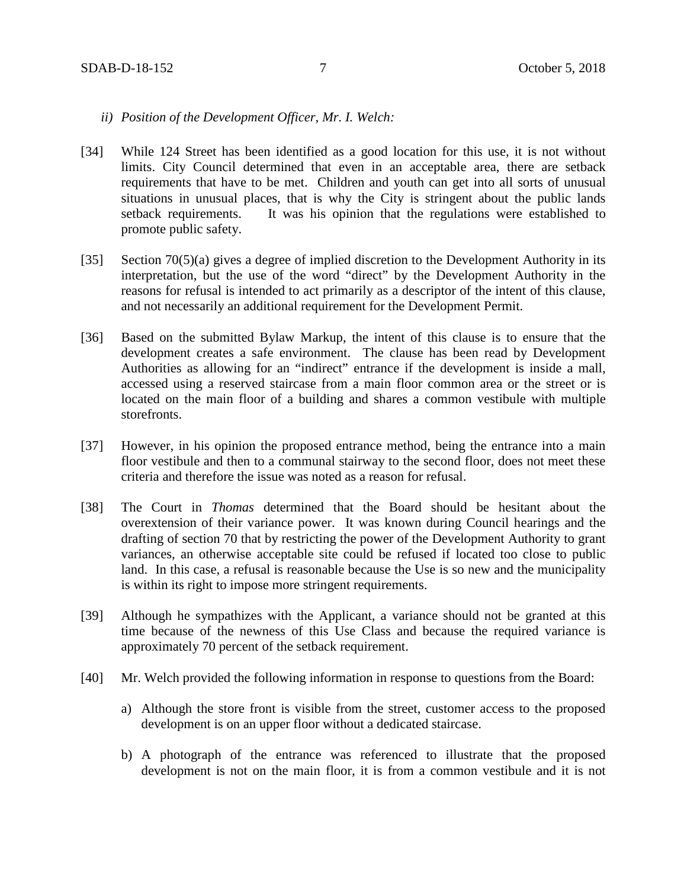### *ii) Position of the Development Officer, Mr. I. Welch:*

- [34] While 124 Street has been identified as a good location for this use, it is not without limits. City Council determined that even in an acceptable area, there are setback requirements that have to be met. Children and youth can get into all sorts of unusual situations in unusual places, that is why the City is stringent about the public lands setback requirements. It was his opinion that the regulations were established to promote public safety.
- [35] Section 70(5)(a) gives a degree of implied discretion to the Development Authority in its interpretation, but the use of the word "direct" by the Development Authority in the reasons for refusal is intended to act primarily as a descriptor of the intent of this clause, and not necessarily an additional requirement for the Development Permit.
- [36] Based on the submitted Bylaw Markup, the intent of this clause is to ensure that the development creates a safe environment. The clause has been read by Development Authorities as allowing for an "indirect" entrance if the development is inside a mall, accessed using a reserved staircase from a main floor common area or the street or is located on the main floor of a building and shares a common vestibule with multiple storefronts.
- [37] However, in his opinion the proposed entrance method, being the entrance into a main floor vestibule and then to a communal stairway to the second floor, does not meet these criteria and therefore the issue was noted as a reason for refusal.
- [38] The Court in *Thomas* determined that the Board should be hesitant about the overextension of their variance power. It was known during Council hearings and the drafting of section 70 that by restricting the power of the Development Authority to grant variances, an otherwise acceptable site could be refused if located too close to public land. In this case, a refusal is reasonable because the Use is so new and the municipality is within its right to impose more stringent requirements.
- [39] Although he sympathizes with the Applicant, a variance should not be granted at this time because of the newness of this Use Class and because the required variance is approximately 70 percent of the setback requirement.
- [40] Mr. Welch provided the following information in response to questions from the Board:
	- a) Although the store front is visible from the street, customer access to the proposed development is on an upper floor without a dedicated staircase.
	- b) A photograph of the entrance was referenced to illustrate that the proposed development is not on the main floor, it is from a common vestibule and it is not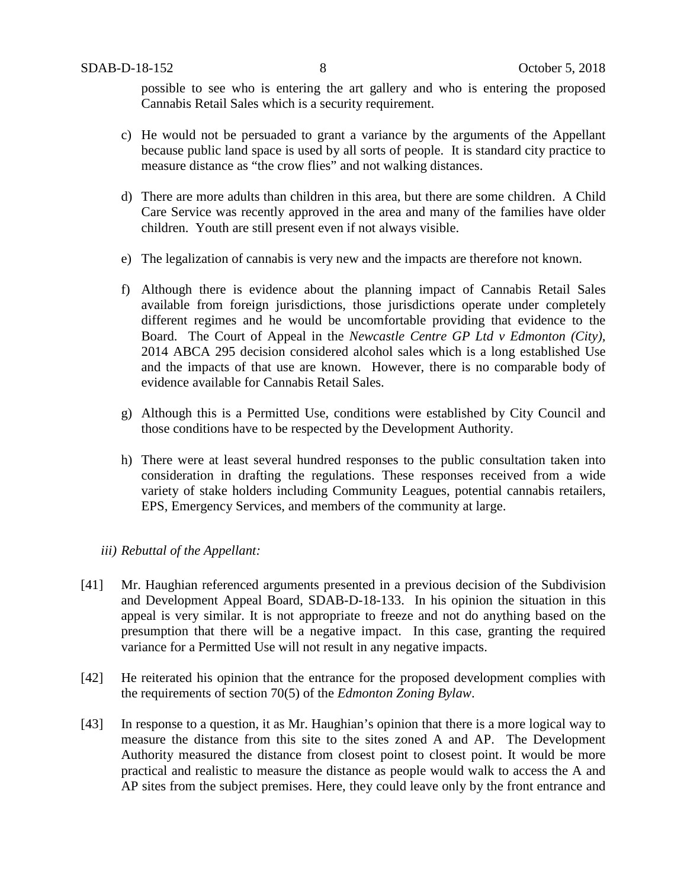possible to see who is entering the art gallery and who is entering the proposed Cannabis Retail Sales which is a security requirement.

- c) He would not be persuaded to grant a variance by the arguments of the Appellant because public land space is used by all sorts of people. It is standard city practice to measure distance as "the crow flies" and not walking distances.
- d) There are more adults than children in this area, but there are some children. A Child Care Service was recently approved in the area and many of the families have older children. Youth are still present even if not always visible.
- e) The legalization of cannabis is very new and the impacts are therefore not known.
- f) Although there is evidence about the planning impact of Cannabis Retail Sales available from foreign jurisdictions, those jurisdictions operate under completely different regimes and he would be uncomfortable providing that evidence to the Board. The Court of Appeal in the *Newcastle Centre GP Ltd v Edmonton (City),* 2014 ABCA 295 decision considered alcohol sales which is a long established Use and the impacts of that use are known. However, there is no comparable body of evidence available for Cannabis Retail Sales.
- g) Although this is a Permitted Use, conditions were established by City Council and those conditions have to be respected by the Development Authority.
- h) There were at least several hundred responses to the public consultation taken into consideration in drafting the regulations. These responses received from a wide variety of stake holders including Community Leagues, potential cannabis retailers, EPS, Emergency Services, and members of the community at large.

### *iii) Rebuttal of the Appellant:*

- [41] Mr. Haughian referenced arguments presented in a previous decision of the Subdivision and Development Appeal Board, SDAB-D-18-133. In his opinion the situation in this appeal is very similar. It is not appropriate to freeze and not do anything based on the presumption that there will be a negative impact. In this case, granting the required variance for a Permitted Use will not result in any negative impacts.
- [42] He reiterated his opinion that the entrance for the proposed development complies with the requirements of section 70(5) of the *Edmonton Zoning Bylaw*.
- [43] In response to a question, it as Mr. Haughian's opinion that there is a more logical way to measure the distance from this site to the sites zoned A and AP. The Development Authority measured the distance from closest point to closest point. It would be more practical and realistic to measure the distance as people would walk to access the A and AP sites from the subject premises. Here, they could leave only by the front entrance and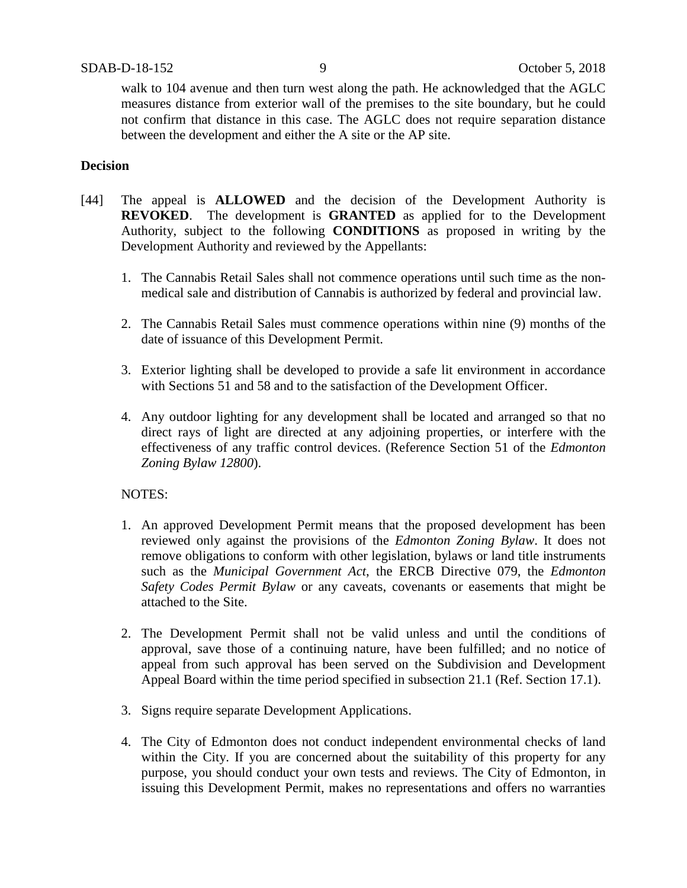walk to 104 avenue and then turn west along the path. He acknowledged that the AGLC measures distance from exterior wall of the premises to the site boundary, but he could not confirm that distance in this case. The AGLC does not require separation distance between the development and either the A site or the AP site.

## **Decision**

- [44] The appeal is **ALLOWED** and the decision of the Development Authority is **REVOKED**. The development is **GRANTED** as applied for to the Development Authority, subject to the following **CONDITIONS** as proposed in writing by the Development Authority and reviewed by the Appellants:
	- 1. The Cannabis Retail Sales shall not commence operations until such time as the nonmedical sale and distribution of Cannabis is authorized by federal and provincial law.
	- 2. The Cannabis Retail Sales must commence operations within nine (9) months of the date of issuance of this Development Permit.
	- 3. Exterior lighting shall be developed to provide a safe lit environment in accordance with Sections 51 and 58 and to the satisfaction of the Development Officer.
	- 4. Any outdoor lighting for any development shall be located and arranged so that no direct rays of light are directed at any adjoining properties, or interfere with the effectiveness of any traffic control devices. (Reference Section 51 of the *Edmonton Zoning Bylaw 12800*).

### NOTES:

- 1. An approved Development Permit means that the proposed development has been reviewed only against the provisions of the *Edmonton Zoning Bylaw*. It does not remove obligations to conform with other legislation, bylaws or land title instruments such as the *Municipal Government Act*, the ERCB Directive 079, the *Edmonton Safety Codes Permit Bylaw* or any caveats, covenants or easements that might be attached to the Site.
- 2. The Development Permit shall not be valid unless and until the conditions of approval, save those of a continuing nature, have been fulfilled; and no notice of appeal from such approval has been served on the Subdivision and Development Appeal Board within the time period specified in subsection 21.1 (Ref. Section 17.1).
- 3. Signs require separate Development Applications.
- 4. The City of Edmonton does not conduct independent environmental checks of land within the City. If you are concerned about the suitability of this property for any purpose, you should conduct your own tests and reviews. The City of Edmonton, in issuing this Development Permit, makes no representations and offers no warranties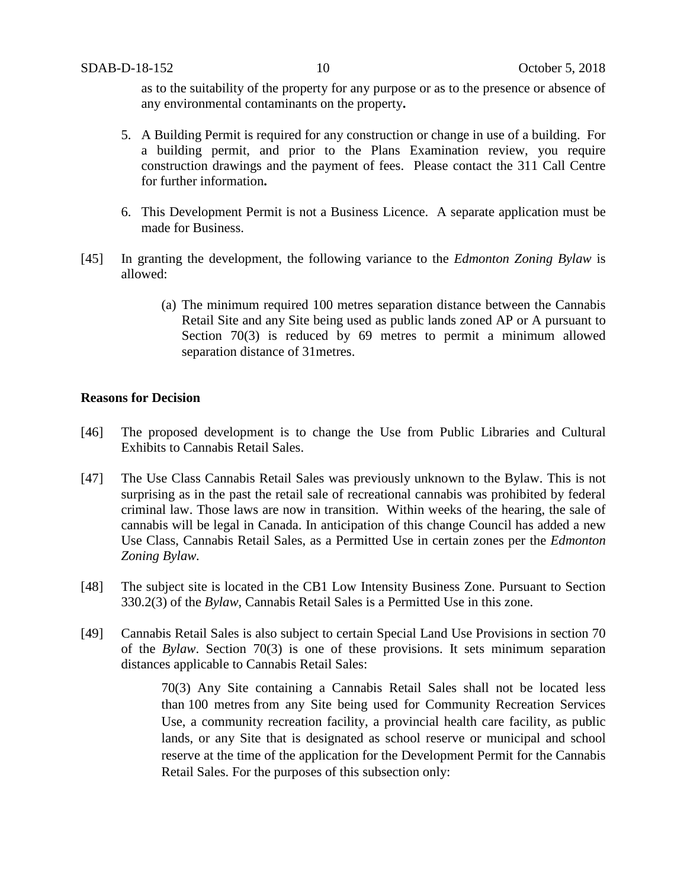as to the suitability of the property for any purpose or as to the presence or absence of any environmental contaminants on the property**.**

- 5. A Building Permit is required for any construction or change in use of a building. For a building permit, and prior to the Plans Examination review, you require construction drawings and the payment of fees. Please contact the 311 Call Centre for further information**.**
- 6. This Development Permit is not a Business Licence. A separate application must be made for Business.
- [45] In granting the development, the following variance to the *Edmonton Zoning Bylaw* is allowed:
	- (a) The minimum required 100 metres separation distance between the Cannabis Retail Site and any Site being used as public lands zoned AP or A pursuant to Section 70(3) is reduced by 69 metres to permit a minimum allowed separation distance of 31metres.

#### **Reasons for Decision**

- [46] The proposed development is to change the Use from Public Libraries and Cultural Exhibits to Cannabis Retail Sales.
- [47] The Use Class Cannabis Retail Sales was previously unknown to the Bylaw. This is not surprising as in the past the retail sale of recreational cannabis was prohibited by federal criminal law. Those laws are now in transition. Within weeks of the hearing, the sale of cannabis will be legal in Canada. In anticipation of this change Council has added a new Use Class, Cannabis Retail Sales, as a Permitted Use in certain zones per the *Edmonton Zoning Bylaw.*
- [48] The subject site is located in the CB1 Low Intensity Business Zone. Pursuant to Section 330.2(3) of the *Bylaw*, Cannabis Retail Sales is a Permitted Use in this zone.
- [49] Cannabis Retail Sales is also subject to certain Special Land Use Provisions in section 70 of the *Bylaw*. Section 70(3) is one of these provisions. It sets minimum separation distances applicable to Cannabis Retail Sales:

70(3) Any Site containing a Cannabis Retail Sales shall not be located less than 100 metres from any Site being used for Community Recreation Services Use, a community recreation facility, a provincial health care facility, as public lands, or any Site that is designated as school reserve or municipal and school reserve at the time of the application for the Development Permit for the Cannabis Retail Sales. For the purposes of this subsection only: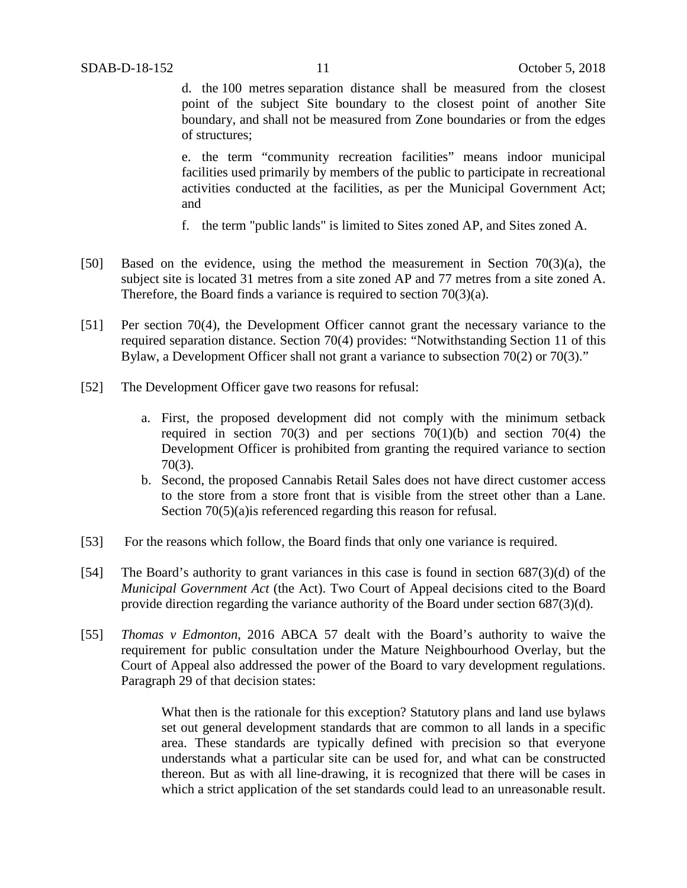d. the 100 metres separation distance shall be measured from the closest point of the subject Site boundary to the closest point of another Site boundary, and shall not be measured from Zone boundaries or from the edges of structures;

e. the term "community recreation facilities" means indoor municipal facilities used primarily by members of the public to participate in recreational activities conducted at the facilities, as per the Municipal Government Act; and

- f. the term "public lands" is limited to Sites zoned AP, and Sites zoned A.
- [50] Based on the evidence, using the method the measurement in Section 70(3)(a), the subject site is located 31 metres from a site zoned AP and 77 metres from a site zoned A. Therefore, the Board finds a variance is required to section 70(3)(a).
- [51] Per section 70(4), the Development Officer cannot grant the necessary variance to the required separation distance. Section 70(4) provides: "Notwithstanding Section 11 of this Bylaw, a Development Officer shall not grant a variance to subsection 70(2) or 70(3)."
- [52] The Development Officer gave two reasons for refusal:
	- a. First, the proposed development did not comply with the minimum setback required in section 70(3) and per sections 70(1)(b) and section 70(4) the Development Officer is prohibited from granting the required variance to section 70(3).
	- b. Second, the proposed Cannabis Retail Sales does not have direct customer access to the store from a store front that is visible from the street other than a Lane. Section 70(5)(a) is referenced regarding this reason for refusal.
- [53] For the reasons which follow, the Board finds that only one variance is required.
- [54] The Board's authority to grant variances in this case is found in section 687(3)(d) of the *Municipal Government Act* (the Act). Two Court of Appeal decisions cited to the Board provide direction regarding the variance authority of the Board under section 687(3)(d).
- [55] *Thomas v Edmonton*, 2016 ABCA 57 dealt with the Board's authority to waive the requirement for public consultation under the Mature Neighbourhood Overlay, but the Court of Appeal also addressed the power of the Board to vary development regulations. Paragraph 29 of that decision states:

What then is the rationale for this exception? Statutory plans and land use bylaws set out general development standards that are common to all lands in a specific area. These standards are typically defined with precision so that everyone understands what a particular site can be used for, and what can be constructed thereon. But as with all line-drawing, it is recognized that there will be cases in which a strict application of the set standards could lead to an unreasonable result.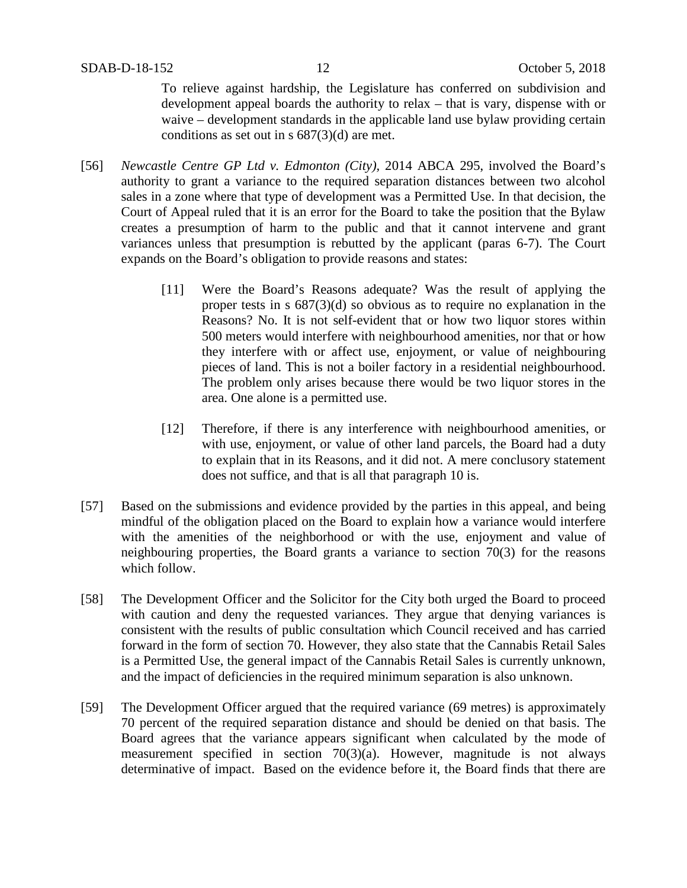To relieve against hardship, the Legislature has conferred on subdivision and development appeal boards the authority to relax – that is vary, dispense with or waive – development standards in the applicable land use bylaw providing certain conditions as set out in s 687(3)(d) are met.

- [56] *Newcastle Centre GP Ltd v. Edmonton (City),* 2014 ABCA 295, involved the Board's authority to grant a variance to the required separation distances between two alcohol sales in a zone where that type of development was a Permitted Use. In that decision, the Court of Appeal ruled that it is an error for the Board to take the position that the Bylaw creates a presumption of harm to the public and that it cannot intervene and grant variances unless that presumption is rebutted by the applicant (paras 6-7). The Court expands on the Board's obligation to provide reasons and states:
	- [11] Were the Board's Reasons adequate? Was the result of applying the proper tests in s 687(3)(d) so obvious as to require no explanation in the Reasons? No. It is not self-evident that or how two liquor stores within 500 meters would interfere with neighbourhood amenities, nor that or how they interfere with or affect use, enjoyment, or value of neighbouring pieces of land. This is not a boiler factory in a residential neighbourhood. The problem only arises because there would be two liquor stores in the area. One alone is a permitted use.
	- [12] Therefore, if there is any interference with neighbourhood amenities, or with use, enjoyment, or value of other land parcels, the Board had a duty to explain that in its Reasons, and it did not. A mere conclusory statement does not suffice, and that is all that paragraph 10 is.
- [57] Based on the submissions and evidence provided by the parties in this appeal, and being mindful of the obligation placed on the Board to explain how a variance would interfere with the amenities of the neighborhood or with the use, enjoyment and value of neighbouring properties, the Board grants a variance to section 70(3) for the reasons which follow.
- [58] The Development Officer and the Solicitor for the City both urged the Board to proceed with caution and deny the requested variances. They argue that denying variances is consistent with the results of public consultation which Council received and has carried forward in the form of section 70. However, they also state that the Cannabis Retail Sales is a Permitted Use, the general impact of the Cannabis Retail Sales is currently unknown, and the impact of deficiencies in the required minimum separation is also unknown.
- [59] The Development Officer argued that the required variance (69 metres) is approximately 70 percent of the required separation distance and should be denied on that basis. The Board agrees that the variance appears significant when calculated by the mode of measurement specified in section 70(3)(a). However, magnitude is not always determinative of impact. Based on the evidence before it, the Board finds that there are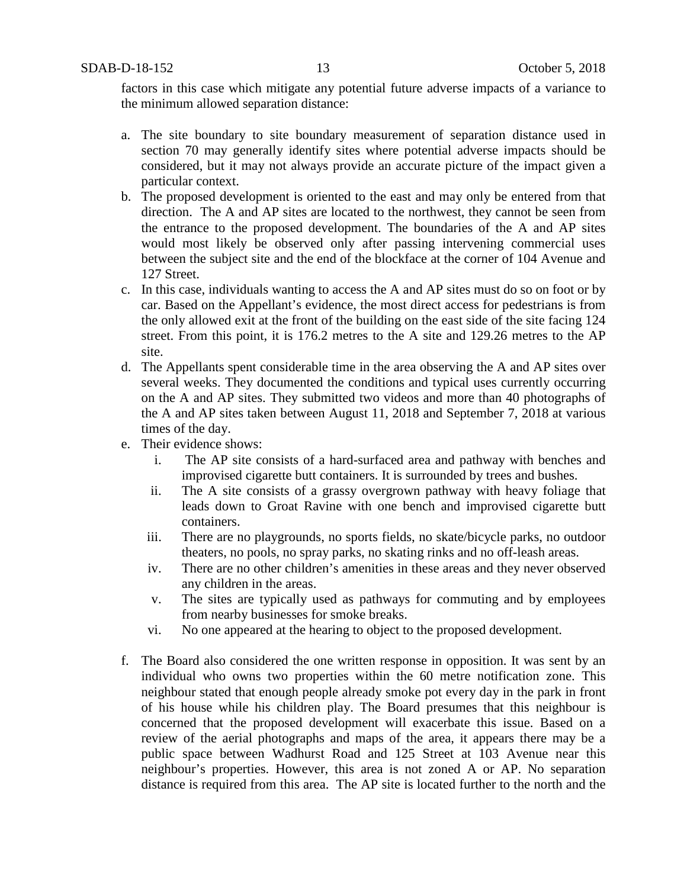factors in this case which mitigate any potential future adverse impacts of a variance to the minimum allowed separation distance:

- a. The site boundary to site boundary measurement of separation distance used in section 70 may generally identify sites where potential adverse impacts should be considered, but it may not always provide an accurate picture of the impact given a particular context.
- b. The proposed development is oriented to the east and may only be entered from that direction. The A and AP sites are located to the northwest, they cannot be seen from the entrance to the proposed development. The boundaries of the A and AP sites would most likely be observed only after passing intervening commercial uses between the subject site and the end of the blockface at the corner of 104 Avenue and 127 Street.
- c. In this case, individuals wanting to access the A and AP sites must do so on foot or by car. Based on the Appellant's evidence, the most direct access for pedestrians is from the only allowed exit at the front of the building on the east side of the site facing 124 street. From this point, it is 176.2 metres to the A site and 129.26 metres to the AP site.
- d. The Appellants spent considerable time in the area observing the A and AP sites over several weeks. They documented the conditions and typical uses currently occurring on the A and AP sites. They submitted two videos and more than 40 photographs of the A and AP sites taken between August 11, 2018 and September 7, 2018 at various times of the day.
- e. Their evidence shows:
	- i. The AP site consists of a hard-surfaced area and pathway with benches and improvised cigarette butt containers. It is surrounded by trees and bushes.
	- ii. The A site consists of a grassy overgrown pathway with heavy foliage that leads down to Groat Ravine with one bench and improvised cigarette butt containers.
	- iii. There are no playgrounds, no sports fields, no skate/bicycle parks, no outdoor theaters, no pools, no spray parks, no skating rinks and no off-leash areas.
	- iv. There are no other children's amenities in these areas and they never observed any children in the areas.
	- v. The sites are typically used as pathways for commuting and by employees from nearby businesses for smoke breaks.
	- vi. No one appeared at the hearing to object to the proposed development.
- f. The Board also considered the one written response in opposition. It was sent by an individual who owns two properties within the 60 metre notification zone. This neighbour stated that enough people already smoke pot every day in the park in front of his house while his children play. The Board presumes that this neighbour is concerned that the proposed development will exacerbate this issue. Based on a review of the aerial photographs and maps of the area, it appears there may be a public space between Wadhurst Road and 125 Street at 103 Avenue near this neighbour's properties. However, this area is not zoned A or AP. No separation distance is required from this area. The AP site is located further to the north and the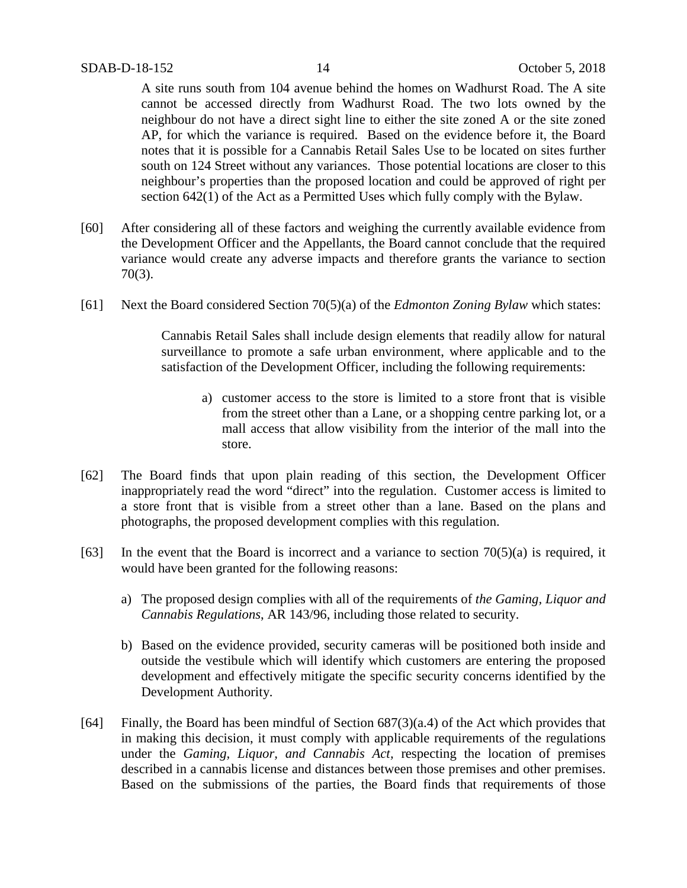A site runs south from 104 avenue behind the homes on Wadhurst Road. The A site cannot be accessed directly from Wadhurst Road. The two lots owned by the neighbour do not have a direct sight line to either the site zoned A or the site zoned AP, for which the variance is required. Based on the evidence before it, the Board notes that it is possible for a Cannabis Retail Sales Use to be located on sites further south on 124 Street without any variances. Those potential locations are closer to this neighbour's properties than the proposed location and could be approved of right per section 642(1) of the Act as a Permitted Uses which fully comply with the Bylaw.

- [60] After considering all of these factors and weighing the currently available evidence from the Development Officer and the Appellants, the Board cannot conclude that the required variance would create any adverse impacts and therefore grants the variance to section 70(3).
- [61] Next the Board considered Section 70(5)(a) of the *Edmonton Zoning Bylaw* which states:

Cannabis Retail Sales shall include design elements that readily allow for natural surveillance to promote a safe urban environment, where applicable and to the satisfaction of the Development Officer, including the following requirements:

- a) customer access to the store is limited to a store front that is visible from the street other than a Lane, or a shopping centre parking lot, or a mall access that allow visibility from the interior of the mall into the store.
- [62] The Board finds that upon plain reading of this section, the Development Officer inappropriately read the word "direct" into the regulation. Customer access is limited to a store front that is visible from a street other than a lane. Based on the plans and photographs, the proposed development complies with this regulation.
- [63] In the event that the Board is incorrect and a variance to section  $70(5)(a)$  is required, it would have been granted for the following reasons:
	- a) The proposed design complies with all of the requirements of *the Gaming, Liquor and Cannabis Regulations*, AR 143/96, including those related to security.
	- b) Based on the evidence provided, security cameras will be positioned both inside and outside the vestibule which will identify which customers are entering the proposed development and effectively mitigate the specific security concerns identified by the Development Authority.
- [64] Finally, the Board has been mindful of Section 687(3)(a.4) of the Act which provides that in making this decision, it must comply with applicable requirements of the regulations under the *Gaming, Liquor, and Cannabis Act,* respecting the location of premises described in a cannabis license and distances between those premises and other premises. Based on the submissions of the parties, the Board finds that requirements of those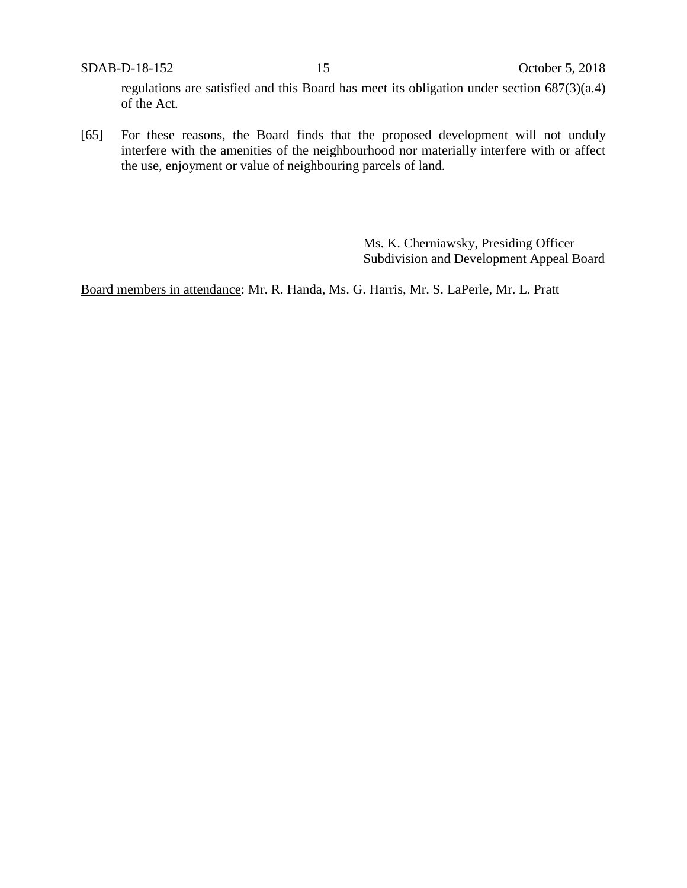SDAB-D-18-152 15 October 5, 2018

regulations are satisfied and this Board has meet its obligation under section 687(3)(a.4) of the Act.

[65] For these reasons, the Board finds that the proposed development will not unduly interfere with the amenities of the neighbourhood nor materially interfere with or affect the use, enjoyment or value of neighbouring parcels of land.

> Ms. K. Cherniawsky, Presiding Officer Subdivision and Development Appeal Board

Board members in attendance: Mr. R. Handa, Ms. G. Harris, Mr. S. LaPerle, Mr. L. Pratt